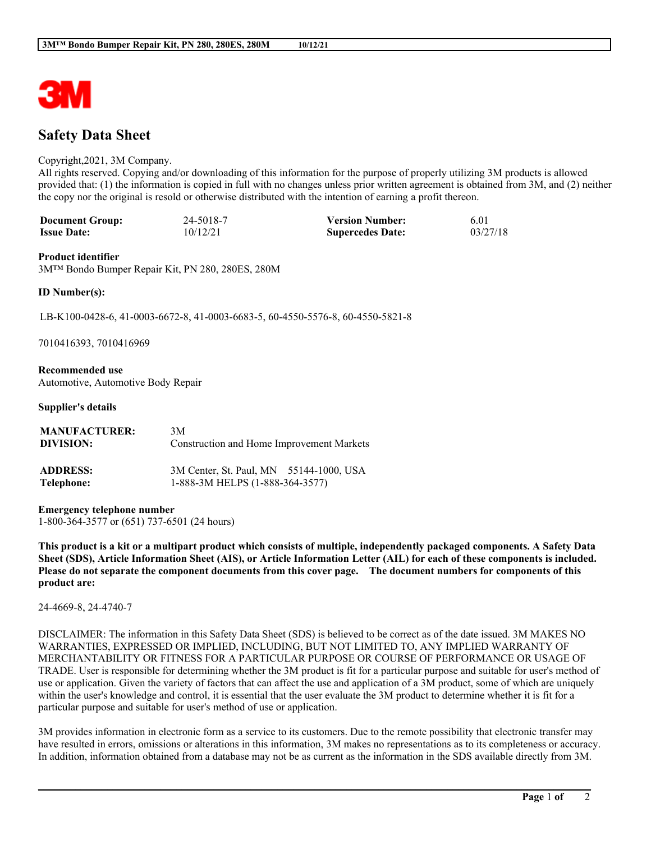

# **Safety Data Sheet**

#### Copyright,2021, 3M Company.

All rights reserved. Copying and/or downloading of this information for the purpose of properly utilizing 3M products is allowed provided that: (1) the information is copied in full with no changes unless prior written agreement is obtained from 3M, and (2) neither the copy nor the original is resold or otherwise distributed with the intention of earning a profit thereon.

| <b>Document Group:</b> | 24-5018-7 | <b>Version Number:</b>  | 6.01     |
|------------------------|-----------|-------------------------|----------|
| <b>Issue Date:</b>     | 10/12/21  | <b>Supercedes Date:</b> | 03/27/18 |

#### **Product identifier**

3M™ Bondo Bumper Repair Kit, PN 280, 280ES, 280M

#### **ID Number(s):**

LB-K100-0428-6, 41-0003-6672-8, 41-0003-6683-5, 60-4550-5576-8, 60-4550-5821-8

7010416393, 7010416969

**Recommended use** Automotive, Automotive Body Repair

#### **Supplier's details**

| <b>MANUFACTURER:</b> | 3M                                        |
|----------------------|-------------------------------------------|
| DIVISION:            | Construction and Home Improvement Markets |
| <b>ADDRESS:</b>      | 3M Center, St. Paul, MN 55144-1000, USA   |
| Telephone:           | 1-888-3M HELPS (1-888-364-3577)           |

**Emergency telephone number**

1-800-364-3577 or (651) 737-6501 (24 hours)

This product is a kit or a multipart product which consists of multiple, independently packaged components. A Safety Data Sheet (SDS), Article Information Sheet (AIS), or Article Information Letter (AIL) for each of these components is included. Please do not separate the component documents from this cover page. The document numbers for components of this **product are:**

24-4669-8, 24-4740-7

DISCLAIMER: The information in this Safety Data Sheet (SDS) is believed to be correct as of the date issued. 3M MAKES NO WARRANTIES, EXPRESSED OR IMPLIED, INCLUDING, BUT NOT LIMITED TO, ANY IMPLIED WARRANTY OF MERCHANTABILITY OR FITNESS FOR A PARTICULAR PURPOSE OR COURSE OF PERFORMANCE OR USAGE OF TRADE. User is responsible for determining whether the 3M product is fit for a particular purpose and suitable for user's method of use or application. Given the variety of factors that can affect the use and application of a 3M product, some of which are uniquely within the user's knowledge and control, it is essential that the user evaluate the 3M product to determine whether it is fit for a particular purpose and suitable for user's method of use or application.

3M provides information in electronic form as a service to its customers. Due to the remote possibility that electronic transfer may have resulted in errors, omissions or alterations in this information, 3M makes no representations as to its completeness or accuracy. In addition, information obtained from a database may not be as current as the information in the SDS available directly from 3M.

**\_\_\_\_\_\_\_\_\_\_\_\_\_\_\_\_\_\_\_\_\_\_\_\_\_\_\_\_\_\_\_\_\_\_\_\_\_\_\_\_\_\_\_\_\_\_\_\_\_\_\_\_\_\_\_\_\_\_\_\_\_\_\_\_\_\_\_\_\_\_\_\_\_\_\_\_\_\_\_\_\_\_\_\_\_\_\_\_\_\_\_\_\_\_\_\_\_\_\_\_\_\_\_\_**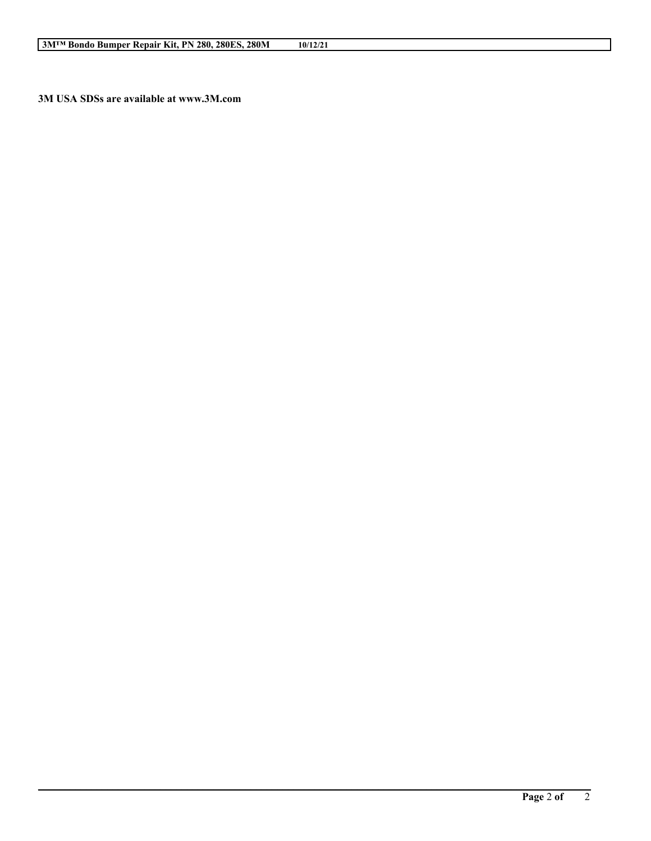**3M USA SDSs are available at www.3M.com**

**\_\_\_\_\_\_\_\_\_\_\_\_\_\_\_\_\_\_\_\_\_\_\_\_\_\_\_\_\_\_\_\_\_\_\_\_\_\_\_\_\_\_\_\_\_\_\_\_\_\_\_\_\_\_\_\_\_\_\_\_\_\_\_\_\_\_\_\_\_\_\_\_\_\_\_\_\_\_\_\_\_\_\_\_\_\_\_\_\_\_\_\_\_\_\_\_\_\_\_\_\_\_\_\_**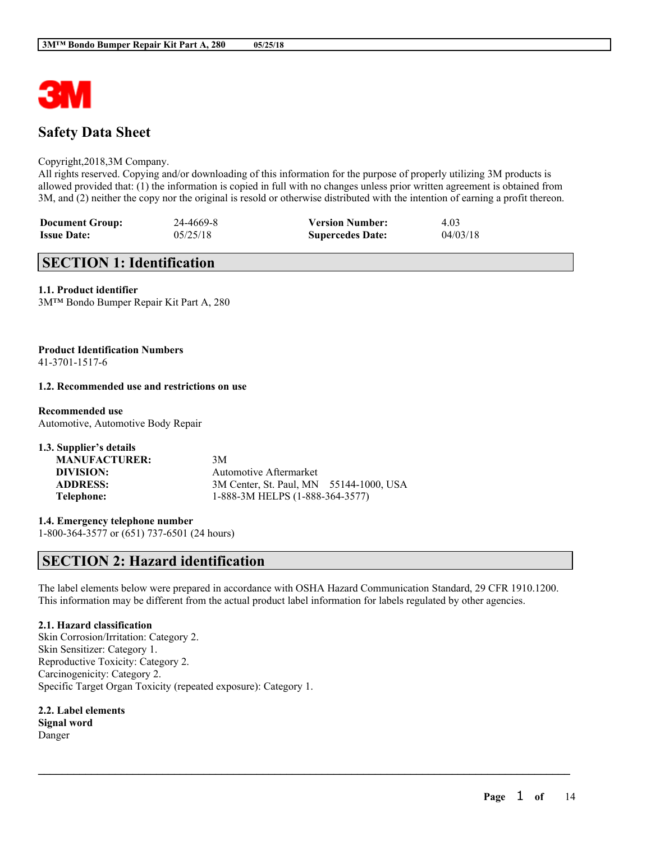

# **Safety Data Sheet**

#### Copyright,2018,3M Company.

All rights reserved. Copying and/or downloading of this information for the purpose of properly utilizing 3M products is allowed provided that: (1) the information is copied in full with no changes unless prior written agreement is obtained from 3M, and (2) neither the copy nor the original is resold or otherwise distributed with the intention of earning a profit thereon.

| <b>Document Group:</b> | 24-4669-8 | <b>Version Number:</b>  | 4.03     |
|------------------------|-----------|-------------------------|----------|
| <b>Issue Date:</b>     | 05/25/18  | <b>Supercedes Date:</b> | 04/03/18 |

## **SECTION 1: Identification**

### **1.1. Product identifier**

3M™ Bondo Bumper Repair Kit Part A, 280

#### **Product Identification Numbers** 41-3701-1517-6

#### **1.2. Recommended use and restrictions on use**

## **Recommended use**

Automotive, Automotive Body Repair

| 1.3. Supplier's details |                                         |  |
|-------------------------|-----------------------------------------|--|
| <b>MANUFACTURER:</b>    | 3M                                      |  |
| DIVISION:               | Automotive Aftermarket                  |  |
| <b>ADDRESS:</b>         | 3M Center, St. Paul, MN 55144-1000, USA |  |
| Telephone:              | 1-888-3M HELPS (1-888-364-3577)         |  |

**1.4. Emergency telephone number** 1-800-364-3577 or (651) 737-6501 (24 hours)

## **SECTION 2: Hazard identification**

The label elements below were prepared in accordance with OSHA Hazard Communication Standard, 29 CFR 1910.1200. This information may be different from the actual product label information for labels regulated by other agencies.

 $\mathcal{L}_\mathcal{L} = \mathcal{L}_\mathcal{L} = \mathcal{L}_\mathcal{L} = \mathcal{L}_\mathcal{L} = \mathcal{L}_\mathcal{L} = \mathcal{L}_\mathcal{L} = \mathcal{L}_\mathcal{L} = \mathcal{L}_\mathcal{L} = \mathcal{L}_\mathcal{L} = \mathcal{L}_\mathcal{L} = \mathcal{L}_\mathcal{L} = \mathcal{L}_\mathcal{L} = \mathcal{L}_\mathcal{L} = \mathcal{L}_\mathcal{L} = \mathcal{L}_\mathcal{L} = \mathcal{L}_\mathcal{L} = \mathcal{L}_\mathcal{L}$ 

## **2.1. Hazard classification**

Skin Corrosion/Irritation: Category 2. Skin Sensitizer: Category 1. Reproductive Toxicity: Category 2. Carcinogenicity: Category 2. Specific Target Organ Toxicity (repeated exposure): Category 1.

**2.2. Label elements Signal word** Danger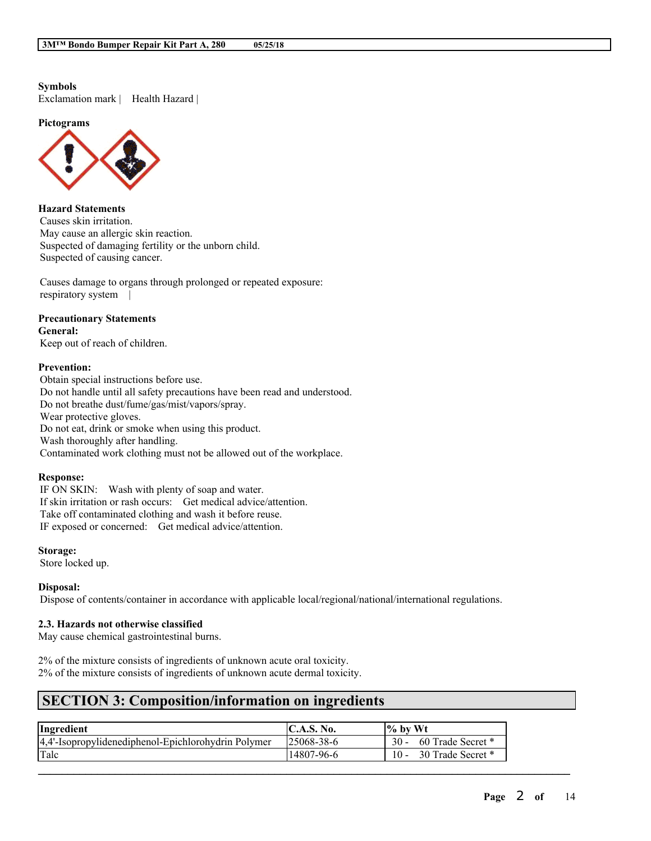### **Symbols**

Exclamation mark | Health Hazard |

**Pictograms**



## **Hazard Statements**

Causes skin irritation. May cause an allergic skin reaction. Suspected of damaging fertility or the unborn child. Suspected of causing cancer.

Causes damage to organs through prolonged or repeated exposure: respiratory system |

### **Precautionary Statements**

**General:**

Keep out of reach of children.

### **Prevention:**

Obtain special instructions before use. Do not handle until all safety precautions have been read and understood. Do not breathe dust/fume/gas/mist/vapors/spray. Wear protective gloves. Do not eat, drink or smoke when using this product. Wash thoroughly after handling. Contaminated work clothing must not be allowed out of the workplace.

#### **Response:**

IF ON SKIN: Wash with plenty of soap and water. If skin irritation or rash occurs: Get medical advice/attention. Take off contaminated clothing and wash it before reuse. IF exposed or concerned: Get medical advice/attention.

#### **Storage:**

Store locked up.

#### **Disposal:**

Dispose of contents/container in accordance with applicable local/regional/national/international regulations.

#### **2.3. Hazards not otherwise classified**

May cause chemical gastrointestinal burns.

2% of the mixture consists of ingredients of unknown acute oral toxicity. 2% of the mixture consists of ingredients of unknown acute dermal toxicity.

# **SECTION 3: Composition/information on ingredients**

| Ingredient                                           | <b>IC.A.S. No.</b> | $\frac{1}{2}$ by Wt |
|------------------------------------------------------|--------------------|---------------------|
| [4,4'-Isopropylidenediphenol-Epichlorohydrin Polymer | 125068-38-6        | 60 Trade Secret *   |
| Talc                                                 | 14807-96-6         | 30 Trade Secret *   |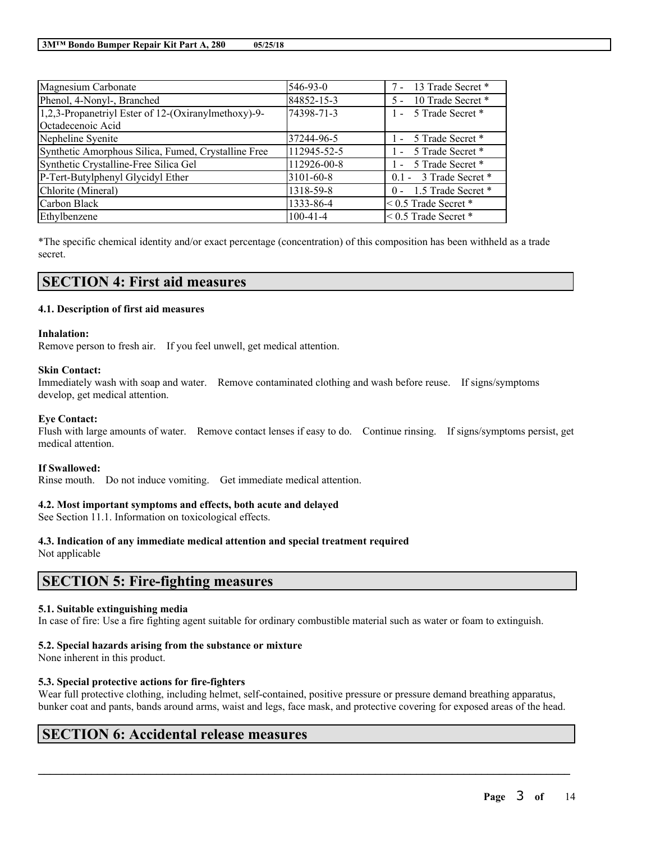| Magnesium Carbonate                                 | 546-93-0       | 7 - 13 Trade Secret *       |
|-----------------------------------------------------|----------------|-----------------------------|
| Phenol, 4-Nonyl-, Branched                          | 84852-15-3     | 5 - 10 Trade Secret *       |
| 1,2,3-Propanetriyl Ester of 12-(Oxiranylmethoxy)-9- | 74398-71-3     | 1 - 5 Trade Secret *        |
| Octadecenoic Acid                                   |                |                             |
| Nepheline Syenite                                   | 37244-96-5     | 1 - 5 Trade Secret *        |
| Synthetic Amorphous Silica, Fumed, Crystalline Free | 112945-52-5    | 1 - 5 Trade Secret *        |
| Synthetic Crystalline-Free Silica Gel               | 112926-00-8    | 1 - 5 Trade Secret *        |
| P-Tert-Butylphenyl Glycidyl Ether                   | 3101-60-8      | $0.1 - 3$ Trade Secret *    |
| Chlorite (Mineral)                                  | 1318-59-8      | 0 - 1.5 Trade Secret *      |
| Carbon Black                                        | 1333-86-4      | $< 0.5$ Trade Secret $*$    |
| Ethylbenzene                                        | $100 - 41 - 4$ | $\leq 0.5$ Trade Secret $*$ |

\*The specific chemical identity and/or exact percentage (concentration) of this composition has been withheld as a trade secret.

## **SECTION 4: First aid measures**

## **4.1. Description of first aid measures**

#### **Inhalation:**

Remove person to fresh air. If you feel unwell, get medical attention.

#### **Skin Contact:**

Immediately wash with soap and water. Remove contaminated clothing and wash before reuse. If signs/symptoms develop, get medical attention.

#### **Eye Contact:**

Flush with large amounts of water. Remove contact lenses if easy to do. Continue rinsing. If signs/symptoms persist, get medical attention.

#### **If Swallowed:**

Rinse mouth. Do not induce vomiting. Get immediate medical attention.

## **4.2. Most important symptoms and effects, both acute and delayed**

See Section 11.1. Information on toxicological effects.

## **4.3. Indication of any immediate medical attention and special treatment required**

Not applicable

## **SECTION 5: Fire-fighting measures**

#### **5.1. Suitable extinguishing media**

In case of fire: Use a fire fighting agent suitable for ordinary combustible material such as water or foam to extinguish.

## **5.2. Special hazards arising from the substance or mixture**

None inherent in this product.

## **5.3. Special protective actions for fire-fighters**

Wear full protective clothing, including helmet, self-contained, positive pressure or pressure demand breathing apparatus, bunker coat and pants, bands around arms, waist and legs, face mask, and protective covering for exposed areas of the head.

 $\mathcal{L}_\mathcal{L} = \mathcal{L}_\mathcal{L} = \mathcal{L}_\mathcal{L} = \mathcal{L}_\mathcal{L} = \mathcal{L}_\mathcal{L} = \mathcal{L}_\mathcal{L} = \mathcal{L}_\mathcal{L} = \mathcal{L}_\mathcal{L} = \mathcal{L}_\mathcal{L} = \mathcal{L}_\mathcal{L} = \mathcal{L}_\mathcal{L} = \mathcal{L}_\mathcal{L} = \mathcal{L}_\mathcal{L} = \mathcal{L}_\mathcal{L} = \mathcal{L}_\mathcal{L} = \mathcal{L}_\mathcal{L} = \mathcal{L}_\mathcal{L}$ 

## **SECTION 6: Accidental release measures**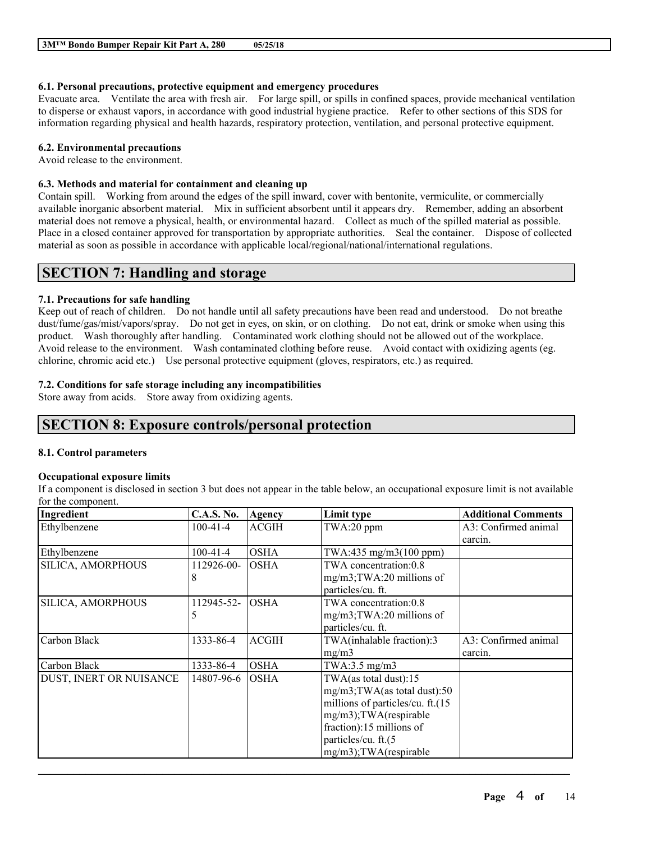## **6.1. Personal precautions, protective equipment and emergency procedures**

Evacuate area. Ventilate the area with fresh air. For large spill, or spills in confined spaces, provide mechanical ventilation to disperse or exhaust vapors, in accordance with good industrial hygiene practice. Refer to other sections of this SDS for information regarding physical and health hazards, respiratory protection, ventilation, and personal protective equipment.

### **6.2. Environmental precautions**

Avoid release to the environment.

## **6.3. Methods and material for containment and cleaning up**

Contain spill. Working from around the edges of the spill inward, cover with bentonite, vermiculite, or commercially available inorganic absorbent material. Mix in sufficient absorbent until it appears dry. Remember, adding an absorbent material does not remove a physical, health, or environmental hazard. Collect as much of the spilled material as possible. Place in a closed container approved for transportation by appropriate authorities. Seal the container. Dispose of collected material as soon as possible in accordance with applicable local/regional/national/international regulations.

## **SECTION 7: Handling and storage**

## **7.1. Precautions for safe handling**

Keep out of reach of children. Do not handle until all safety precautions have been read and understood. Do not breathe dust/fume/gas/mist/vapors/spray. Do not get in eyes, on skin, or on clothing. Do not eat, drink or smoke when using this product. Wash thoroughly after handling. Contaminated work clothing should not be allowed out of the workplace. Avoid release to the environment. Wash contaminated clothing before reuse. Avoid contact with oxidizing agents (eg. chlorine, chromic acid etc.) Use personal protective equipment (gloves, respirators, etc.) as required.

## **7.2. Conditions for safe storage including any incompatibilities**

Store away from acids. Store away from oxidizing agents.

## **SECTION 8: Exposure controls/personal protection**

## **8.1. Control parameters**

## **Occupational exposure limits**

If a component is disclosed in section 3 but does not appear in the table below, an occupational exposure limit is not available for the component.

| Ingredient              | <b>C.A.S. No.</b> | Agency       | Limit type                                                                                                                                                                                       | <b>Additional Comments</b>      |
|-------------------------|-------------------|--------------|--------------------------------------------------------------------------------------------------------------------------------------------------------------------------------------------------|---------------------------------|
| Ethylbenzene            | $100 - 41 - 4$    | <b>ACGIH</b> | TWA:20 ppm                                                                                                                                                                                       | A3: Confirmed animal<br>carcin. |
| Ethylbenzene            | $100-41-4$        | <b>OSHA</b>  | TWA:435 mg/m3(100 ppm)                                                                                                                                                                           |                                 |
| SILICA, AMORPHOUS       | 112926-00-<br>8   | <b>OSHA</b>  | TWA concentration:0.8<br>mg/m3;TWA:20 millions of<br>particles/cu. ft.                                                                                                                           |                                 |
| SILICA, AMORPHOUS       | 112945-52-<br>5   | <b>OSHA</b>  | TWA concentration:0.8<br>$mg/m3$ ; TWA: 20 millions of<br>particles/cu. ft.                                                                                                                      |                                 |
| Carbon Black            | 1333-86-4         | <b>ACGIH</b> | TWA(inhalable fraction):3<br>mg/m3                                                                                                                                                               | A3: Confirmed animal<br>carcin. |
| Carbon Black            | 1333-86-4         | <b>OSHA</b>  | TWA:3.5 $mg/m3$                                                                                                                                                                                  |                                 |
| DUST, INERT OR NUISANCE | 14807-96-6        | <b>OSHA</b>  | TWA(as total dust): $15$<br>mg/m3;TWA(as total dust):50<br>millions of particles/cu. ft.(15<br>mg/m3);TWA(respirable<br>fraction):15 millions of<br>particles/cu. ft.(5<br>mg/m3);TWA(respirable |                                 |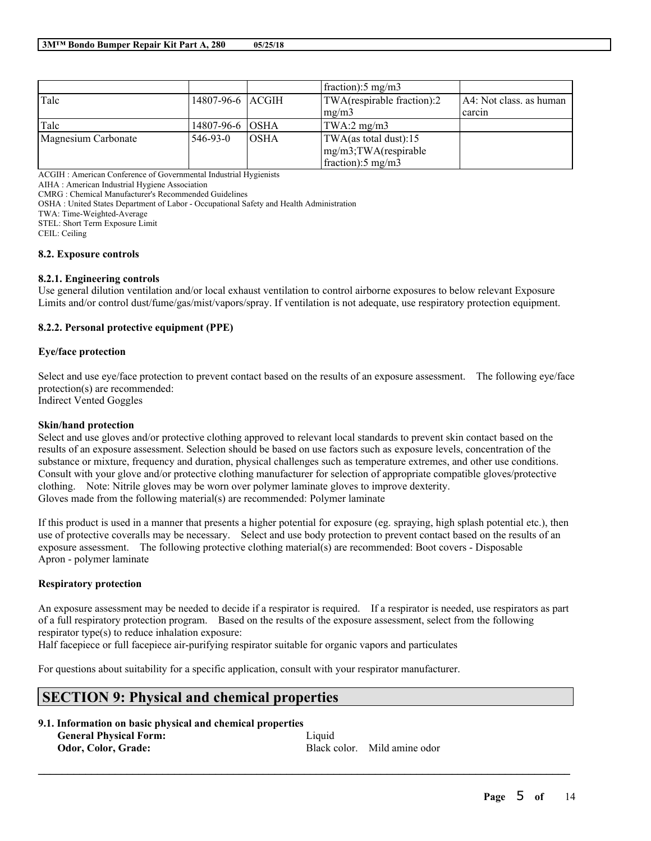|                     |                  |             | fraction: $5 \text{ mg/m}$    |                         |
|---------------------|------------------|-------------|-------------------------------|-------------------------|
| Talc                | 14807-96-6 ACGIH |             | TWA(respirable fraction):2    | A4: Not class. as human |
|                     |                  |             | mg/m3                         | carcin                  |
| Talc                | 14807-96-6 OSHA  |             | TWA:2 $mg/m3$                 |                         |
| Magnesium Carbonate | 546-93-0         | <b>OSHA</b> | TWA(as total dust):15         |                         |
|                     |                  |             | $mg/m3$ ; TWA(respirable      |                         |
|                     |                  |             | fraction): $5 \text{ mg/m}$ 3 |                         |

ACGIH : American Conference of Governmental Industrial Hygienists

AIHA : American Industrial Hygiene Association

CMRG : Chemical Manufacturer's Recommended Guidelines

OSHA : United States Department of Labor - Occupational Safety and Health Administration

TWA: Time-Weighted-Average

STEL: Short Term Exposure Limit

CEIL: Ceiling

#### **8.2. Exposure controls**

#### **8.2.1. Engineering controls**

Use general dilution ventilation and/or local exhaust ventilation to control airborne exposures to below relevant Exposure Limits and/or control dust/fume/gas/mist/vapors/spray. If ventilation is not adequate, use respiratory protection equipment.

### **8.2.2. Personal protective equipment (PPE)**

#### **Eye/face protection**

Select and use eye/face protection to prevent contact based on the results of an exposure assessment. The following eye/face protection(s) are recommended: Indirect Vented Goggles

#### **Skin/hand protection**

Select and use gloves and/or protective clothing approved to relevant local standards to prevent skin contact based on the results of an exposure assessment. Selection should be based on use factors such as exposure levels, concentration of the substance or mixture, frequency and duration, physical challenges such as temperature extremes, and other use conditions. Consult with your glove and/or protective clothing manufacturer for selection of appropriate compatible gloves/protective clothing. Note: Nitrile gloves may be worn over polymer laminate gloves to improve dexterity. Gloves made from the following material(s) are recommended: Polymer laminate

If this product is used in a manner that presents a higher potential for exposure (eg. spraying, high splash potential etc.), then use of protective coveralls may be necessary. Select and use body protection to prevent contact based on the results of an exposure assessment. The following protective clothing material(s) are recommended: Boot covers - Disposable Apron - polymer laminate

## **Respiratory protection**

An exposure assessment may be needed to decide if a respirator is required. If a respirator is needed, use respirators as part of a full respiratory protection program. Based on the results of the exposure assessment, select from the following respirator type(s) to reduce inhalation exposure:

 $\mathcal{L}_\mathcal{L} = \mathcal{L}_\mathcal{L} = \mathcal{L}_\mathcal{L} = \mathcal{L}_\mathcal{L} = \mathcal{L}_\mathcal{L} = \mathcal{L}_\mathcal{L} = \mathcal{L}_\mathcal{L} = \mathcal{L}_\mathcal{L} = \mathcal{L}_\mathcal{L} = \mathcal{L}_\mathcal{L} = \mathcal{L}_\mathcal{L} = \mathcal{L}_\mathcal{L} = \mathcal{L}_\mathcal{L} = \mathcal{L}_\mathcal{L} = \mathcal{L}_\mathcal{L} = \mathcal{L}_\mathcal{L} = \mathcal{L}_\mathcal{L}$ 

Half facepiece or full facepiece air-purifying respirator suitable for organic vapors and particulates

For questions about suitability for a specific application, consult with your respirator manufacturer.

# **SECTION 9: Physical and chemical properties**

**9.1. Information on basic physical and chemical properties**

**General Physical Form:** Liquid

**Odor, Color, Grade:** Black color. Mild amine odor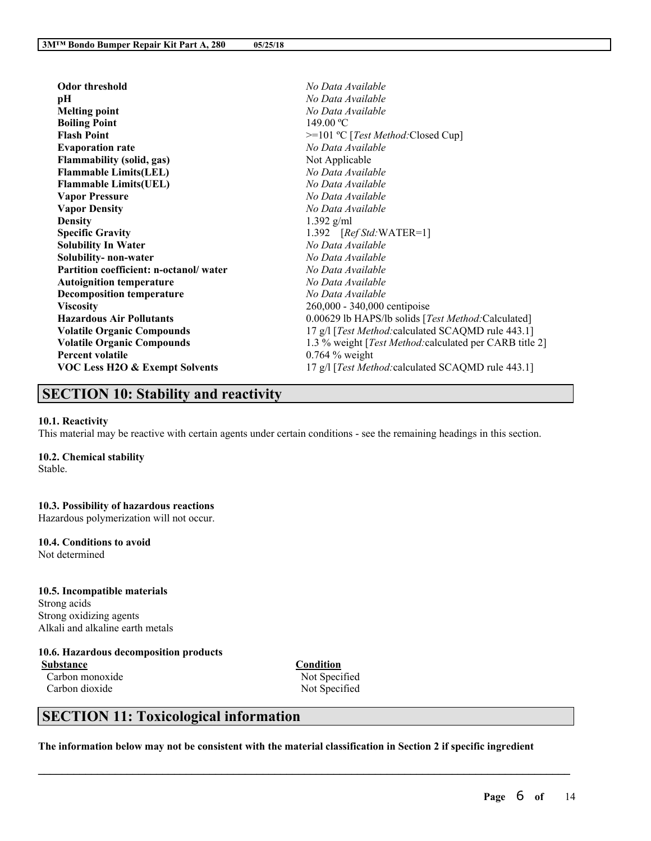| <b>Odor threshold</b>                     | No Data Available                                               |
|-------------------------------------------|-----------------------------------------------------------------|
| pН                                        | No Data Available                                               |
| <b>Melting point</b>                      | No Data Available                                               |
| <b>Boiling Point</b>                      | 149.00 °C                                                       |
| <b>Flash Point</b>                        | >=101 °C [Test Method: Closed Cup]                              |
| <b>Evaporation rate</b>                   | No Data Available                                               |
| <b>Flammability (solid, gas)</b>          | Not Applicable                                                  |
| <b>Flammable Limits(LEL)</b>              | No Data Available                                               |
| <b>Flammable Limits(UEL)</b>              | No Data Available                                               |
| <b>Vapor Pressure</b>                     | No Data Available                                               |
| <b>Vapor Density</b>                      | No Data Available                                               |
| <b>Density</b>                            | $1.392$ g/ml                                                    |
| <b>Specific Gravity</b>                   | 1.392 [Ref Std: WATER=1]                                        |
| <b>Solubility In Water</b>                | No Data Available                                               |
| Solubility- non-water                     | No Data Available                                               |
| Partition coefficient: n-octanol/water    | No Data Available                                               |
| <b>Autoignition temperature</b>           | No Data Available                                               |
| <b>Decomposition temperature</b>          | No Data Available                                               |
| <b>Viscosity</b>                          | 260,000 - 340,000 centipoise                                    |
| <b>Hazardous Air Pollutants</b>           | 0.00629 lb HAPS/lb solids [Test Method:Calculated]              |
| <b>Volatile Organic Compounds</b>         | 17 g/l [Test Method: calculated SCAQMD rule 443.1]              |
| <b>Volatile Organic Compounds</b>         | 1.3 % weight [ <i>Test Method:calculated per CARB title 2</i> ] |
| <b>Percent volatile</b>                   | $0.764\%$ weight                                                |
| <b>VOC Less H2O &amp; Exempt Solvents</b> | 17 g/l [Test Method: calculated SCAQMD rule 443.1]              |
|                                           |                                                                 |

# **SECTION 10: Stability and reactivity**

#### **10.1. Reactivity**

This material may be reactive with certain agents under certain conditions - see the remaining headings in this section.

### **10.2. Chemical stability**

Stable.

## **10.3. Possibility of hazardous reactions**

Hazardous polymerization will not occur.

## **10.4. Conditions to avoid**

Not determined

#### **10.5. Incompatible materials**

Strong acids Strong oxidizing agents Alkali and alkaline earth metals

## **10.6. Hazardous decomposition products**

**Substance Condition** Carbon monoxide Not Specified

Carbon dioxide Not Specified

# **SECTION 11: Toxicological information**

The information below may not be consistent with the material classification in Section 2 if specific ingredient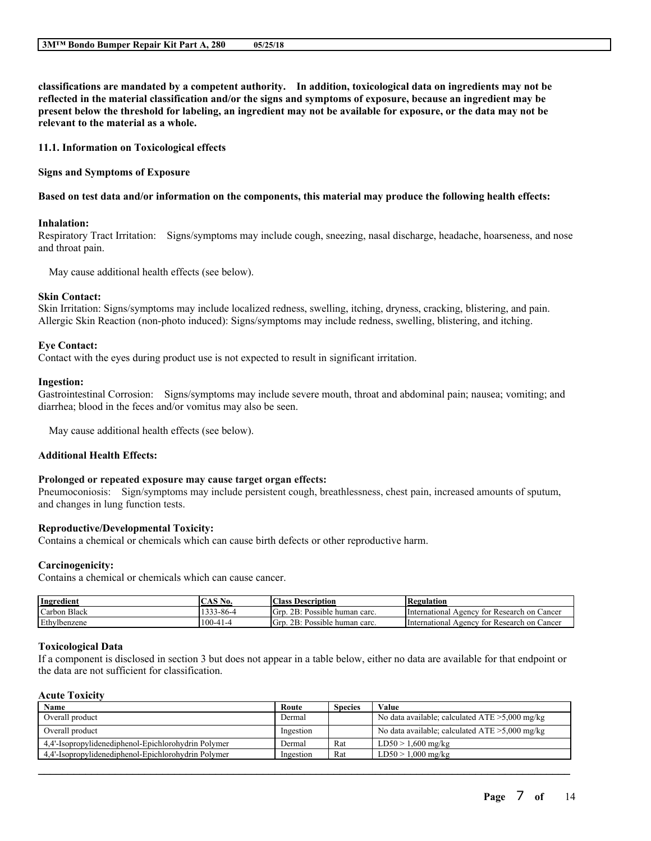**classifications are mandated by a competent authority. In addition, toxicological data on ingredients may not be** reflected in the material classification and/or the signs and symptoms of exposure, because an ingredient may be present below the threshold for labeling, an ingredient may not be available for exposure, or the data may not be **relevant to the material as a whole.**

**11.1. Information on Toxicological effects**

**Signs and Symptoms of Exposure**

#### Based on test data and/or information on the components, this material may produce the following health effects:

#### **Inhalation:**

Respiratory Tract Irritation: Signs/symptoms may include cough, sneezing, nasal discharge, headache, hoarseness, and nose and throat pain.

May cause additional health effects (see below).

#### **Skin Contact:**

Skin Irritation: Signs/symptoms may include localized redness, swelling, itching, dryness, cracking, blistering, and pain. Allergic Skin Reaction (non-photo induced): Signs/symptoms may include redness, swelling, blistering, and itching.

#### **Eye Contact:**

Contact with the eyes during product use is not expected to result in significant irritation.

#### **Ingestion:**

Gastrointestinal Corrosion: Signs/symptoms may include severe mouth, throat and abdominal pain; nausea; vomiting; and diarrhea; blood in the feces and/or vomitus may also be seen.

May cause additional health effects (see below).

### **Additional Health Effects:**

#### **Prolonged or repeated exposure may cause target organ effects:**

Pneumoconiosis: Sign/symptoms may include persistent cough, breathlessness, chest pain, increased amounts of sputum, and changes in lung function tests.

## **Reproductive/Developmental Toxicity:**

Contains a chemical or chemicals which can cause birth defects or other reproductive harm.

#### **Carcinogenicity:**

Contains a chemical or chemicals which can cause cancer.

| Ingredient       | N0.            | <b>Class Description</b>             | <b>Regulation</b>                                |
|------------------|----------------|--------------------------------------|--------------------------------------------------|
| Black<br>Carbon. | $-33 - 86 - 4$ | Grr<br>2B:<br>. Possible human carc. | lnternational.<br>Agency for Research on Cancer  |
| Ethylbenzene     | $100-41-4$     | Grr<br>2B:<br>: Possible human carc. | . International<br>Agency for Research on Cancer |

#### **Toxicological Data**

If a component is disclosed in section 3 but does not appear in a table below, either no data are available for that endpoint or the data are not sufficient for classification.

## **Acute Toxicity**

| Name                                                | Route     | <b>Species</b> | Value                                             |
|-----------------------------------------------------|-----------|----------------|---------------------------------------------------|
| Overall product                                     | Dermal    |                | No data available; calculated $ATE > 5,000$ mg/kg |
| Overall product                                     | Ingestion |                | No data available; calculated $ATE > 5,000$ mg/kg |
| 4.4'-Isopropylidenediphenol-Epichlorohydrin Polymer | Dermal    | Rat            | $LD50 > 1,600$ mg/kg                              |
| 4.4'-Isopropylidenediphenol-Epichlorohydrin Polymer | Ingestion | Rat            | $LD50 > 1,000$ mg/kg                              |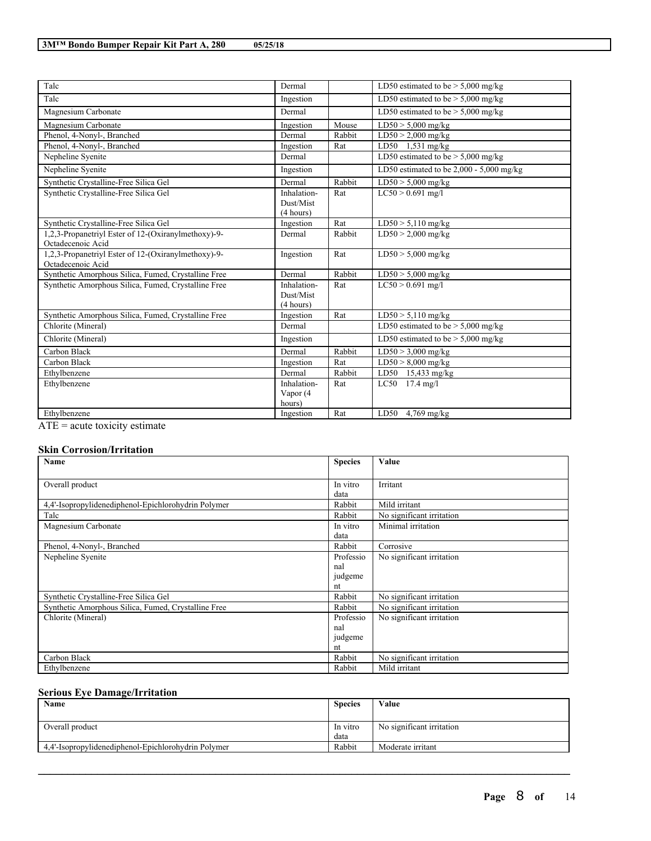| Talc                                                                     | Dermal                                |        | LD50 estimated to be $> 5,000$ mg/kg       |
|--------------------------------------------------------------------------|---------------------------------------|--------|--------------------------------------------|
| Talc                                                                     | Ingestion                             |        | LD50 estimated to be $> 5,000$ mg/kg       |
| Magnesium Carbonate                                                      | Dermal                                |        | LD50 estimated to be $> 5,000$ mg/kg       |
| Magnesium Carbonate                                                      | Ingestion                             | Mouse  | $LD50 > 5,000$ mg/kg                       |
| Phenol, 4-Nonyl-, Branched                                               | Dermal                                | Rabbit | $LD50 > 2,000$ mg/kg                       |
| Phenol, 4-Nonyl-, Branched                                               | Ingestion                             | Rat    | $LD50$ 1.531 mg/kg                         |
| Nepheline Syenite                                                        | Dermal                                |        | LD50 estimated to be $>$ 5,000 mg/kg       |
| Nepheline Syenite                                                        | Ingestion                             |        | LD50 estimated to be $2,000 - 5,000$ mg/kg |
| Synthetic Crystalline-Free Silica Gel                                    | Dermal                                | Rabbit | $LD50 > 5,000$ mg/kg                       |
| Synthetic Crystalline-Free Silica Gel                                    | Inhalation-<br>Dust/Mist<br>(4 hours) | Rat    | $LC50 > 0.691$ mg/l                        |
| Synthetic Crystalline-Free Silica Gel                                    | Ingestion                             | Rat    | $LD50 > 5,110$ mg/kg                       |
| 1,2,3-Propanetriyl Ester of 12-(Oxiranylmethoxy)-9-<br>Octadecenoic Acid | Dermal                                | Rabbit | $LD50 > 2,000$ mg/kg                       |
| 1,2,3-Propanetriyl Ester of 12-(Oxiranylmethoxy)-9-<br>Octadecenoic Acid | Ingestion                             | Rat    | $LD50 > 5,000$ mg/kg                       |
| Synthetic Amorphous Silica, Fumed, Crystalline Free                      | Dermal                                | Rabbit | $LD50 > 5,000$ mg/kg                       |
| Synthetic Amorphous Silica, Fumed, Crystalline Free                      | Inhalation-<br>Dust/Mist<br>(4 hours) | Rat    | $LC50 > 0.691$ mg/l                        |
| Synthetic Amorphous Silica, Fumed, Crystalline Free                      | Ingestion                             | Rat    | $LD50 > 5,110$ mg/kg                       |
| Chlorite (Mineral)                                                       | Dermal                                |        | LD50 estimated to be $> 5,000$ mg/kg       |
| Chlorite (Mineral)                                                       | Ingestion                             |        | LD50 estimated to be $> 5,000$ mg/kg       |
| Carbon Black                                                             | Dermal                                | Rabbit | $LD50 > 3,000$ mg/kg                       |
| Carbon Black                                                             | Ingestion                             | Rat    | $LD50 > 8,000$ mg/kg                       |
| Ethylbenzene                                                             | Dermal                                | Rabbit | $LD50$ 15,433 mg/kg                        |
| Ethylbenzene                                                             | Inhalation-                           | Rat    | $LC50$ 17.4 mg/l                           |
|                                                                          | Vapor (4<br>hours)                    |        |                                            |
| Ethylbenzene                                                             | Ingestion                             | Rat    | LD50 $4,769$ mg/kg                         |
|                                                                          |                                       |        |                                            |

ATE = acute toxicity estimate

## **Skin Corrosion/Irritation**

| Name                                                | <b>Species</b> | Value                     |
|-----------------------------------------------------|----------------|---------------------------|
|                                                     |                |                           |
| Overall product                                     | In vitro       | Irritant                  |
|                                                     | data           |                           |
| 4.4'-Isopropylidenediphenol-Epichlorohydrin Polymer | Rabbit         | Mild irritant             |
| Talc                                                | Rabbit         | No significant irritation |
| Magnesium Carbonate                                 | In vitro       | Minimal irritation        |
|                                                     | data           |                           |
| Phenol, 4-Nonyl-, Branched                          | Rabbit         | Corrosive                 |
| Nepheline Syenite                                   | Professio      | No significant irritation |
|                                                     | nal            |                           |
|                                                     | judgeme        |                           |
|                                                     | nt             |                           |
| Synthetic Crystalline-Free Silica Gel               | Rabbit         | No significant irritation |
| Synthetic Amorphous Silica, Fumed, Crystalline Free | Rabbit         | No significant irritation |
| Chlorite (Mineral)                                  | Professio      | No significant irritation |
|                                                     | nal            |                           |
|                                                     | judgeme        |                           |
|                                                     | nt             |                           |
| Carbon Black                                        | Rabbit         | No significant irritation |
| Ethylbenzene                                        | Rabbit         | Mild irritant             |

## **Serious Eye Damage/Irritation**

| <b>Species</b><br>Name                              |          | Value                     |
|-----------------------------------------------------|----------|---------------------------|
|                                                     |          |                           |
| Overall product                                     | In vitro | No significant irritation |
|                                                     | data     |                           |
| 4.4'-Isopropylidenediphenol-Epichlorohydrin Polymer | Rabbit   | Moderate irritant         |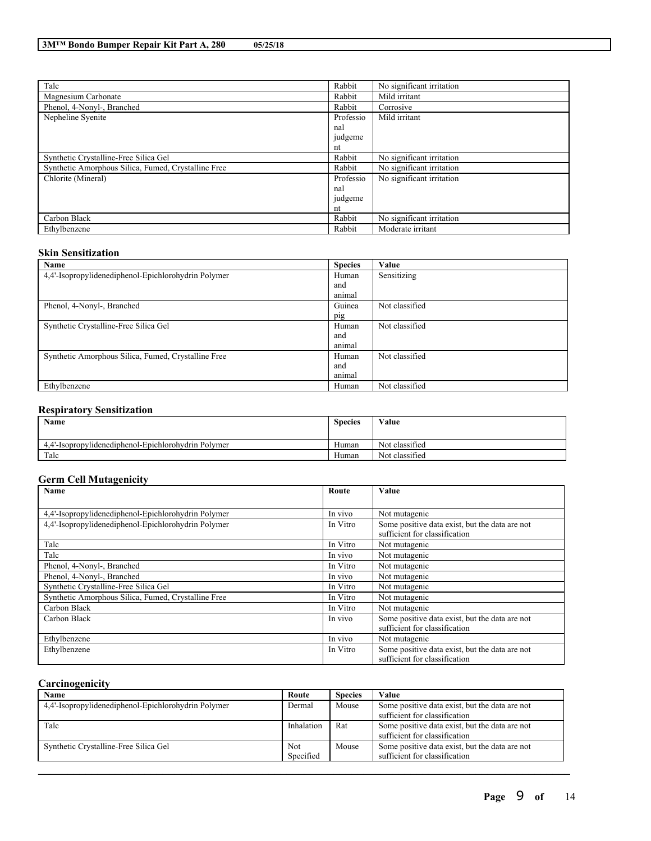| Talc                                                | Rabbit    | No significant irritation |
|-----------------------------------------------------|-----------|---------------------------|
| Magnesium Carbonate                                 | Rabbit    | Mild irritant             |
| Phenol, 4-Nonyl-, Branched                          | Rabbit    | Corrosive                 |
| Nepheline Syenite                                   | Professio | Mild irritant             |
|                                                     | nal       |                           |
|                                                     | judgeme   |                           |
|                                                     | nt        |                           |
| Synthetic Crystalline-Free Silica Gel               | Rabbit    | No significant irritation |
| Synthetic Amorphous Silica, Fumed, Crystalline Free | Rabbit    | No significant irritation |
| Chlorite (Mineral)                                  | Professio | No significant irritation |
|                                                     | nal       |                           |
|                                                     | judgeme   |                           |
|                                                     | nt        |                           |
| Carbon Black                                        | Rabbit    | No significant irritation |
| Ethylbenzene                                        | Rabbit    | Moderate irritant         |

### **Skin Sensitization**

| Name                                                | <b>Species</b> | Value          |
|-----------------------------------------------------|----------------|----------------|
| 4,4'-Isopropylidenediphenol-Epichlorohydrin Polymer | Human          | Sensitizing    |
|                                                     | and            |                |
|                                                     | animal         |                |
| Phenol, 4-Nonyl-, Branched                          | Guinea         | Not classified |
|                                                     | pig            |                |
| Synthetic Crystalline-Free Silica Gel               | Human          | Not classified |
|                                                     | and            |                |
|                                                     | animal         |                |
| Synthetic Amorphous Silica, Fumed, Crystalline Free | Human          | Not classified |
|                                                     | and            |                |
|                                                     | animal         |                |
| Ethylbenzene                                        | Human          | Not classified |

## **Respiratory Sensitization**

| <b>Name</b>                                              | <b>Species</b> | Value          |
|----------------------------------------------------------|----------------|----------------|
| l'-Isopropylidenediphenol-Epichlorohydrin Polymer<br>4.4 | Human          | Not classified |
| Talc                                                     | Human          | Not classified |

## **Germ Cell Mutagenicity**

| Name                                                | Route    | Value                                                                           |  |  |
|-----------------------------------------------------|----------|---------------------------------------------------------------------------------|--|--|
|                                                     |          |                                                                                 |  |  |
| 4,4'-Isopropylidenediphenol-Epichlorohydrin Polymer | In vivo  | Not mutagenic                                                                   |  |  |
| 4.4'-Isopropylidenediphenol-Epichlorohydrin Polymer | In Vitro | Some positive data exist, but the data are not<br>sufficient for classification |  |  |
| Talc                                                | In Vitro | Not mutagenic                                                                   |  |  |
| Talc                                                | In vivo  | Not mutagenic                                                                   |  |  |
| Phenol, 4-Nonyl-, Branched                          | In Vitro | Not mutagenic                                                                   |  |  |
| Phenol, 4-Nonyl-, Branched                          | In vivo  | Not mutagenic                                                                   |  |  |
| Synthetic Crystalline-Free Silica Gel               | In Vitro | Not mutagenic                                                                   |  |  |
| Synthetic Amorphous Silica, Fumed, Crystalline Free | In Vitro | Not mutagenic                                                                   |  |  |
| Carbon Black                                        | In Vitro | Not mutagenic                                                                   |  |  |
| Carbon Black                                        | In vivo  | Some positive data exist, but the data are not<br>sufficient for classification |  |  |
| Ethylbenzene                                        | In vivo  | Not mutagenic                                                                   |  |  |
| Ethylbenzene                                        | In Vitro | Some positive data exist, but the data are not<br>sufficient for classification |  |  |

## **Carcinogenicity**

| Name                                                | Route      | <b>Species</b> | Value                                          |
|-----------------------------------------------------|------------|----------------|------------------------------------------------|
| 4,4'-Isopropylidenediphenol-Epichlorohydrin Polymer | Dermal     | Mouse          | Some positive data exist, but the data are not |
|                                                     |            |                | sufficient for classification                  |
| Talc                                                | Inhalation | Rat            | Some positive data exist, but the data are not |
|                                                     |            |                | sufficient for classification                  |
| Synthetic Crystalline-Free Silica Gel               | Not        | Mouse          | Some positive data exist, but the data are not |
|                                                     | Specified  |                | sufficient for classification                  |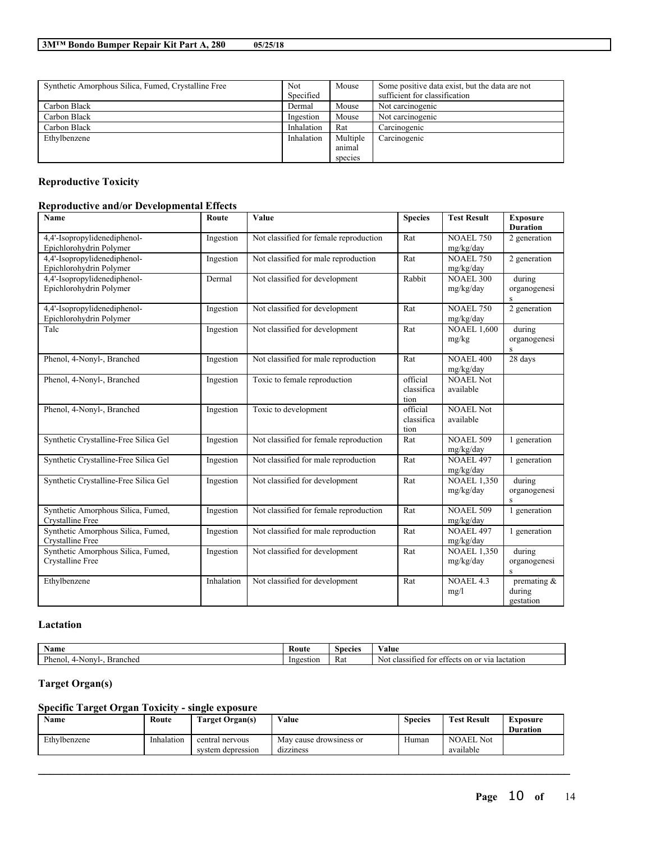| Synthetic Amorphous Silica, Fumed, Crystalline Free | <b>Not</b> | Mouse    | Some positive data exist, but the data are not |
|-----------------------------------------------------|------------|----------|------------------------------------------------|
|                                                     | Specified  |          | sufficient for classification                  |
| Carbon Black                                        | Dermal     | Mouse    | Not carcinogenic                               |
| Carbon Black                                        | Ingestion  | Mouse    | Not carcinogenic                               |
| Carbon Black                                        | Inhalation | Rat      | Carcinogenic                                   |
| Ethylbenzene                                        | Inhalation | Multiple | Carcinogenic                                   |
|                                                     |            | animal   |                                                |
|                                                     |            | species  |                                                |

## **Reproductive Toxicity**

## **Reproductive and/or Developmental Effects**

| <b>Name</b>                                             | Route      | Value                                  | <b>Species</b>                 | <b>Test Result</b>              | <b>Exposure</b><br><b>Duration</b>                |
|---------------------------------------------------------|------------|----------------------------------------|--------------------------------|---------------------------------|---------------------------------------------------|
| 4,4'-Isopropylidenediphenol-<br>Epichlorohydrin Polymer | Ingestion  | Not classified for female reproduction | Rat                            | NOAEL 750<br>mg/kg/day          | 2 generation                                      |
| 4,4'-Isopropylidenediphenol-<br>Epichlorohydrin Polymer | Ingestion  | Not classified for male reproduction   | Rat                            | NOAEL 750<br>mg/kg/day          | 2 generation                                      |
| 4,4'-Isopropylidenediphenol-<br>Epichlorohydrin Polymer | Dermal     | Not classified for development         | Rabbit                         | <b>NOAEL 300</b><br>mg/kg/day   | during<br>organogenesi<br>S                       |
| 4,4'-Isopropylidenediphenol-<br>Epichlorohydrin Polymer | Ingestion  | Not classified for development         | Rat                            | <b>NOAEL 750</b><br>mg/kg/day   | 2 generation                                      |
| Talc                                                    | Ingestion  | Not classified for development         | Rat                            | <b>NOAEL 1,600</b><br>mg/kg     | during<br>organogenesi<br>$\rm S$                 |
| Phenol, 4-Nonyl-, Branched                              | Ingestion  | Not classified for male reproduction   | Rat                            | <b>NOAEL 400</b><br>mg/kg/day   | 28 days                                           |
| Phenol, 4-Nonyl-, Branched                              | Ingestion  | Toxic to female reproduction           | official<br>classifica<br>tion | <b>NOAEL Not</b><br>available   |                                                   |
| Phenol, 4-Nonyl-, Branched                              | Ingestion  | Toxic to development                   | official<br>classifica<br>tion | <b>NOAEL Not</b><br>available   |                                                   |
| Synthetic Crystalline-Free Silica Gel                   | Ingestion  | Not classified for female reproduction | Rat                            | <b>NOAEL 509</b><br>mg/kg/day   | 1 generation                                      |
| Synthetic Crystalline-Free Silica Gel                   | Ingestion  | Not classified for male reproduction   | Rat                            | <b>NOAEL 497</b><br>mg/kg/day   | 1 generation                                      |
| Synthetic Crystalline-Free Silica Gel                   | Ingestion  | Not classified for development         | Rat                            | <b>NOAEL 1,350</b><br>mg/kg/day | $\overline{\mathrm{during}}$<br>organogenesi<br>S |
| Synthetic Amorphous Silica, Fumed,<br>Crystalline Free  | Ingestion  | Not classified for female reproduction | Rat                            | <b>NOAEL 509</b><br>mg/kg/day   | 1 generation                                      |
| Synthetic Amorphous Silica, Fumed,<br>Crystalline Free  | Ingestion  | Not classified for male reproduction   | Rat                            | <b>NOAEL 497</b><br>mg/kg/day   | 1 generation                                      |
| Synthetic Amorphous Silica, Fumed,<br>Crystalline Free  | Ingestion  | Not classified for development         | Rat                            | <b>NOAEL 1,350</b><br>mg/kg/day | during<br>organogenesi<br>$\,$ S                  |
| Ethylbenzene                                            | Inhalation | Not classified for development         | Rat                            | NOAEL 4.3<br>mg/l               | premating $\&$<br>during<br>gestation             |

## **Lactation**

| Name                                 | Route     | Species | - -<br>⁄ alue                                                                           |
|--------------------------------------|-----------|---------|-----------------------------------------------------------------------------------------|
| Phenol.<br>Nonvl<br>Branched<br>,,,, | Ingestion | Rat     | or via<br>lactation<br>on<br>classif<br>Not<br>tor<br>ച+<br>ttects<br>ssified<br>$\sim$ |

## **Target Organ(s)**

## **Specific Target Organ Toxicity - single exposure**

| Name         | Route      | <b>Farget Organ(s)</b>               | Value                                | Species | <b>Test Result</b>            | Exposure<br><b>Duration</b> |
|--------------|------------|--------------------------------------|--------------------------------------|---------|-------------------------------|-----------------------------|
| Ethylbenzene | Inhalation | central nervous<br>system depression | May cause drowsiness or<br>dizziness | Human   | <b>NOAEL</b> Not<br>available |                             |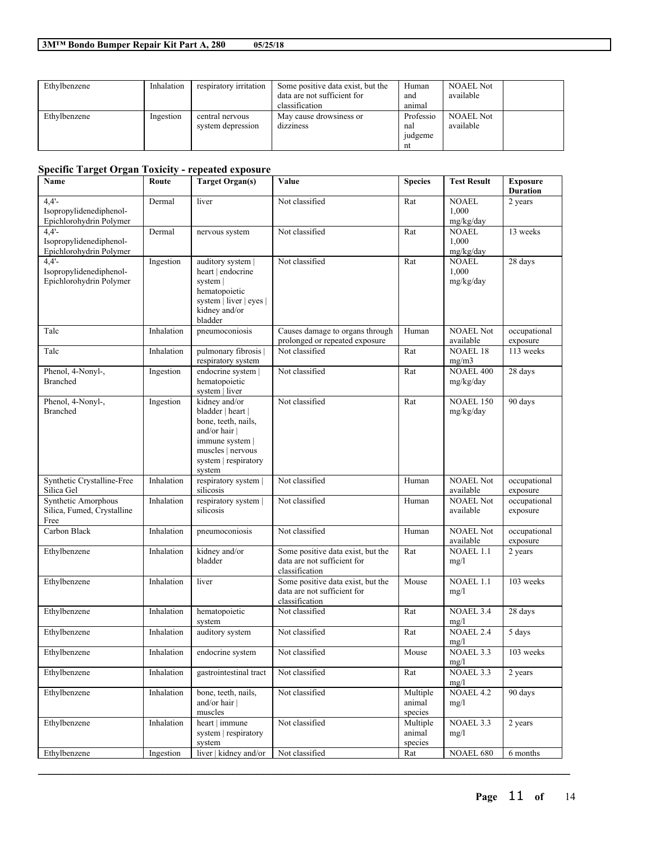| Ethylbenzene | Inhalation | respiratory irritation               | Some positive data exist, but the    | Human                                   | <b>NOAEL Not</b>              |  |
|--------------|------------|--------------------------------------|--------------------------------------|-----------------------------------------|-------------------------------|--|
|              |            |                                      | data are not sufficient for          | and                                     | available                     |  |
|              |            |                                      | classification                       | anımal                                  |                               |  |
| Ethylbenzene | Ingestion  | central nervous<br>system depression | May cause drowsiness or<br>dizziness | Professio<br>nal<br><i>udgeme</i><br>nt | <b>NOAEL Not</b><br>available |  |

## **Specific Target Organ Toxicity - repeated exposure**

| Name                                                             | Route      | <b>Target Organ(s)</b>                                                                                                                               | Value                                                                              | <b>Species</b>                | <b>Test Result</b>                 | <b>Exposure</b><br><b>Duration</b> |
|------------------------------------------------------------------|------------|------------------------------------------------------------------------------------------------------------------------------------------------------|------------------------------------------------------------------------------------|-------------------------------|------------------------------------|------------------------------------|
| $4,4'-$<br>Isopropylidenediphenol-<br>Epichlorohydrin Polymer    | Dermal     | liver                                                                                                                                                | Not classified                                                                     | Rat                           | <b>NOAEL</b><br>1,000<br>mg/kg/day | 2 years                            |
| $4,4'-$<br>Isopropylidenediphenol-<br>Epichlorohydrin Polymer    | Dermal     | nervous system                                                                                                                                       | Not classified                                                                     | Rat                           | NOAEL<br>1,000<br>mg/kg/day        | 13 weeks                           |
| $4.4' -$<br>Isopropylidenediphenol-<br>Epichlorohydrin Polymer   | Ingestion  | auditory system  <br>heart   endocrine<br>system  <br>hematopoietic<br>system   liver   eyes  <br>kidney and/or<br>bladder                           | Not classified                                                                     | Rat                           | <b>NOAEL</b><br>1,000<br>mg/kg/day | 28 days                            |
| Talc                                                             | Inhalation | pneumoconiosis                                                                                                                                       | Causes damage to organs through<br>prolonged or repeated exposure                  | Human                         | <b>NOAEL Not</b><br>available      | occupational<br>exposure           |
| Talc                                                             | Inhalation | pulmonary fibrosis  <br>respiratory system                                                                                                           | Not classified                                                                     | Rat                           | <b>NOAEL 18</b><br>mg/m3           | 113 weeks                          |
| Phenol, 4-Nonyl-,<br><b>Branched</b>                             | Ingestion  | endocrine system  <br>hematopoietic<br>system   liver                                                                                                | Not classified                                                                     | Rat                           | <b>NOAEL 400</b><br>mg/kg/day      | 28 days                            |
| Phenol, 4-Nonyl-,<br><b>Branched</b>                             | Ingestion  | kidney and/or<br>bladder   heart  <br>bone, teeth, nails,<br>and/or hair  <br>immune system  <br>muscles   nervous<br>system   respiratory<br>system | Not classified                                                                     | Rat                           | <b>NOAEL 150</b><br>mg/kg/day      | 90 days                            |
| Synthetic Crystalline-Free<br>Silica Gel                         | Inhalation | respiratory system  <br>silicosis                                                                                                                    | Not classified                                                                     | Human                         | <b>NOAEL Not</b><br>available      | occupational<br>exposure           |
| <b>Synthetic Amorphous</b><br>Silica, Fumed, Crystalline<br>Free | Inhalation | respiratory system  <br>silicosis                                                                                                                    | Not classified                                                                     | Human                         | <b>NOAEL Not</b><br>available      | occupational<br>exposure           |
| Carbon Black                                                     | Inhalation | pneumoconiosis                                                                                                                                       | Not classified                                                                     | Human                         | <b>NOAEL Not</b><br>available      | occupational<br>exposure           |
| Ethylbenzene                                                     | Inhalation | kidney and/or<br>bladder                                                                                                                             | Some positive data exist, but the<br>data are not sufficient for<br>classification | Rat                           | <b>NOAEL 1.1</b><br>mg/l           | 2 years                            |
| Ethylbenzene                                                     | Inhalation | liver                                                                                                                                                | Some positive data exist, but the<br>data are not sufficient for<br>classification | Mouse                         | <b>NOAEL 1.1</b><br>mg/l           | 103 weeks                          |
| Ethylbenzene                                                     | Inhalation | hematopoietic<br>system                                                                                                                              | Not classified                                                                     | Rat                           | <b>NOAEL 3.4</b><br>mg/l           | 28 days                            |
| Ethylbenzene                                                     | Inhalation | auditory system                                                                                                                                      | Not classified                                                                     | Rat                           | <b>NOAEL 2.4</b><br>mg/l           | 5 days                             |
| Ethylbenzene                                                     | Inhalation | endocrine system                                                                                                                                     | Not classified                                                                     | Mouse                         | NOAEL 3.3<br>mg/l                  | $103$ weeks                        |
| Ethylbenzene                                                     | Inhalation | gastrointestinal tract                                                                                                                               | Not classified                                                                     | Rat                           | NOAEL 3.3<br>mg/l                  | 2 years                            |
| Ethylbenzene                                                     | Inhalation | bone, teeth, nails,<br>and/or hair  <br>muscles                                                                                                      | Not classified                                                                     | Multiple<br>animal<br>species | NOAEL 4.2<br>mg/l                  | 90 days                            |
| Ethylbenzene                                                     | Inhalation | heart   immune<br>system   respiratory<br>system                                                                                                     | Not classified                                                                     | Multiple<br>animal<br>species | NOAEL 3.3<br>mg/l                  | 2 years                            |
| Ethylbenzene                                                     | Ingestion  | liver   kidney and/or                                                                                                                                | Not classified                                                                     | Rat                           | NOAEL 680                          | 6 months                           |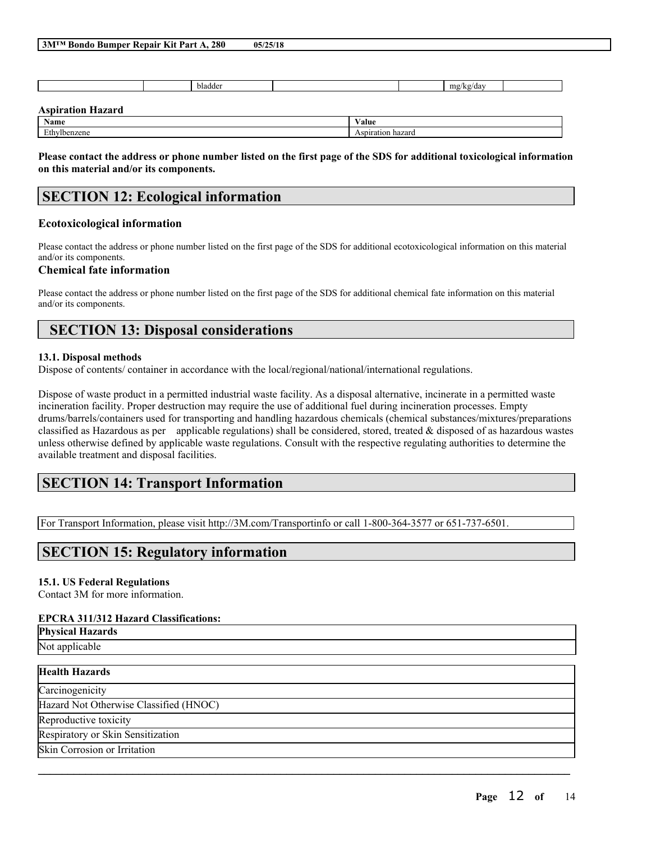| 3M™ Bondo Bumper Repair Kit Part A, 280 | 05/25/18 |
|-----------------------------------------|----------|
|-----------------------------------------|----------|

|                          | bladder |                   | mg/kg/day |  |
|--------------------------|---------|-------------------|-----------|--|
| <b>Aspiration Hazard</b> |         |                   |           |  |
| Name                     |         | Value             |           |  |
| Ethylbenzene             |         | Aspiration hazard |           |  |

Please contact the address or phone number listed on the first page of the SDS for additional toxicological information **on this material and/or its components.**

# **SECTION 12: Ecological information**

## **Ecotoxicological information**

Please contact the address or phone number listed on the first page of the SDS for additional ecotoxicological information on this material and/or its components.

## **Chemical fate information**

Please contact the address or phone number listed on the first page of the SDS for additional chemical fate information on this material and/or its components.

# **SECTION 13: Disposal considerations**

## **13.1. Disposal methods**

Dispose of contents/ container in accordance with the local/regional/national/international regulations.

Dispose of waste product in a permitted industrial waste facility. As a disposal alternative, incinerate in a permitted waste incineration facility. Proper destruction may require the use of additional fuel during incineration processes. Empty drums/barrels/containers used for transporting and handling hazardous chemicals (chemical substances/mixtures/preparations classified as Hazardous as per applicable regulations) shall be considered, stored, treated  $\&$  disposed of as hazardous wastes unless otherwise defined by applicable waste regulations. Consult with the respective regulating authorities to determine the available treatment and disposal facilities.

 $\mathcal{L}_\mathcal{L} = \mathcal{L}_\mathcal{L} = \mathcal{L}_\mathcal{L} = \mathcal{L}_\mathcal{L} = \mathcal{L}_\mathcal{L} = \mathcal{L}_\mathcal{L} = \mathcal{L}_\mathcal{L} = \mathcal{L}_\mathcal{L} = \mathcal{L}_\mathcal{L} = \mathcal{L}_\mathcal{L} = \mathcal{L}_\mathcal{L} = \mathcal{L}_\mathcal{L} = \mathcal{L}_\mathcal{L} = \mathcal{L}_\mathcal{L} = \mathcal{L}_\mathcal{L} = \mathcal{L}_\mathcal{L} = \mathcal{L}_\mathcal{L}$ 

# **SECTION 14: Transport Information**

For Transport Information, please visit http://3M.com/Transportinfo or call 1-800-364-3577 or 651-737-6501.

# **SECTION 15: Regulatory information**

## **15.1. US Federal Regulations**

Contact 3M for more information.

## **EPCRA 311/312 Hazard Classifications:**

**Physical Hazards** Not applicable

## **Health Hazards**

**Carcinogenicity** 

Hazard Not Otherwise Classified (HNOC)

Reproductive toxicity

Respiratory or Skin Sensitization

Skin Corrosion or Irritation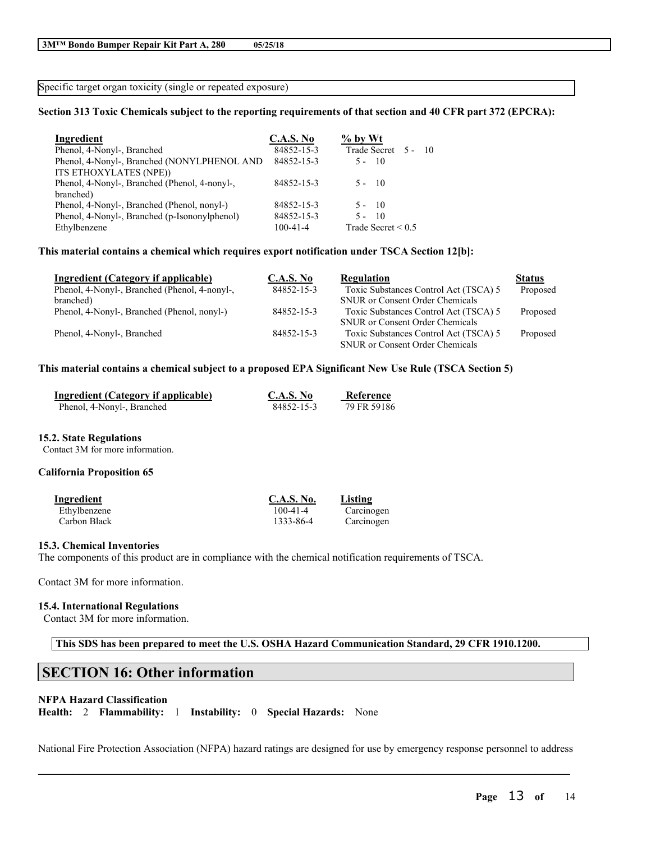Specific target organ toxicity (single or repeated exposure)

### Section 313 Toxic Chemicals subject to the reporting requirements of that section and 40 CFR part 372 (EPCRA):

| Ingredient                                    | <b>C.A.S. No</b> | $%$ by Wt               |
|-----------------------------------------------|------------------|-------------------------|
| Phenol, 4-Nonyl-, Branched                    | 84852-15-3       | Trade Secret 5 - 10     |
| Phenol, 4-Nonyl-, Branched (NONYLPHENOL AND   | 84852-15-3       | $5 - 10$                |
| ITS ETHOXYLATES (NPE))                        |                  |                         |
| Phenol, 4-Nonyl-, Branched (Phenol, 4-nonyl-, | 84852-15-3       | $5 - 10$                |
| branched)                                     |                  |                         |
| Phenol, 4-Nonyl-, Branched (Phenol, nonyl-)   | 84852-15-3       | $5 - 10$                |
| Phenol, 4-Nonyl-, Branched (p-Isononylphenol) | 84852-15-3       | $\overline{10}$<br>5 -  |
| Ethylbenzene                                  | $100 - 41 - 4$   | Trade Secret $\leq 0.5$ |

#### **This material contains a chemical which requires export notification under TSCA Section 12[b]:**

| Ingredient (Category if applicable)           | <b>C.A.S. No</b> | Regulation                             | <b>Status</b> |
|-----------------------------------------------|------------------|----------------------------------------|---------------|
| Phenol, 4-Nonyl-, Branched (Phenol, 4-nonyl-, | 84852-15-3       | Toxic Substances Control Act (TSCA) 5  | Proposed      |
| branched)                                     |                  | <b>SNUR</b> or Consent Order Chemicals |               |
| Phenol, 4-Nonyl-, Branched (Phenol, nonyl-)   | 84852-15-3       | Toxic Substances Control Act (TSCA) 5  | Proposed      |
|                                               |                  | <b>SNUR</b> or Consent Order Chemicals |               |
| Phenol, 4-Nonyl-, Branched                    | 84852-15-3       | Toxic Substances Control Act (TSCA) 5  | Proposed      |
|                                               |                  | <b>SNUR</b> or Consent Order Chemicals |               |

### **This material contains a chemical subject to a proposed EPA Significant New Use Rule (TSCA Section 5)**

| Ingredient (Category if applicable) | C.A.S. No  | Reference   |
|-------------------------------------|------------|-------------|
| Phenol, 4-Nonyl-, Branched          | 84852-15-3 | 79 FR 59186 |

#### **15.2. State Regulations**

Contact 3M for more information.

#### **California Proposition 65**

| Ingredient   | <b>C.A.S. No.</b> | Listing    |
|--------------|-------------------|------------|
| Ethylbenzene | $100 - 41 - 4$    | Carcinogen |
| Carbon Black | 1333-86-4         | Carcinogen |

#### **15.3. Chemical Inventories**

The components of this product are in compliance with the chemical notification requirements of TSCA.

Contact 3M for more information.

#### **15.4. International Regulations**

Contact 3M for more information.

**This SDS has been prepared to meet the U.S. OSHA Hazard Communication Standard, 29 CFR 1910.1200.**

## **SECTION 16: Other information**

#### **NFPA Hazard Classification**

**Health:** 2 **Flammability:** 1 **Instability:** 0 **Special Hazards:** None

 $\mathcal{L}_\mathcal{L} = \mathcal{L}_\mathcal{L} = \mathcal{L}_\mathcal{L} = \mathcal{L}_\mathcal{L} = \mathcal{L}_\mathcal{L} = \mathcal{L}_\mathcal{L} = \mathcal{L}_\mathcal{L} = \mathcal{L}_\mathcal{L} = \mathcal{L}_\mathcal{L} = \mathcal{L}_\mathcal{L} = \mathcal{L}_\mathcal{L} = \mathcal{L}_\mathcal{L} = \mathcal{L}_\mathcal{L} = \mathcal{L}_\mathcal{L} = \mathcal{L}_\mathcal{L} = \mathcal{L}_\mathcal{L} = \mathcal{L}_\mathcal{L}$ National Fire Protection Association (NFPA) hazard ratings are designed for use by emergency response personnel to address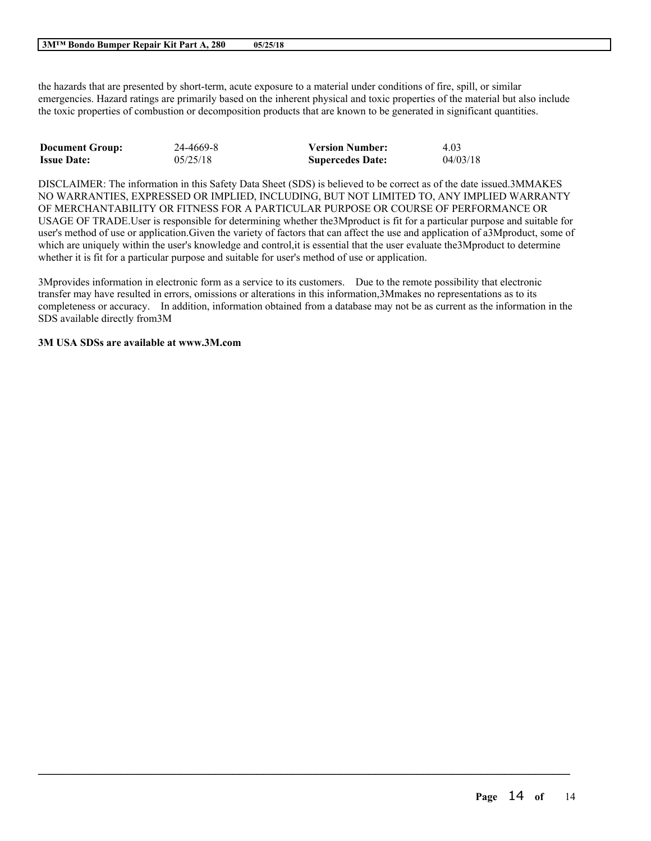#### **3M™ Bondo Bumper Repair Kit Part A, 280 05/25/18**

the hazards that are presented by short-term, acute exposure to a material under conditions of fire, spill, or similar emergencies. Hazard ratings are primarily based on the inherent physical and toxic properties of the material but also include the toxic properties of combustion or decomposition products that are known to be generated in significant quantities.

| <b>Document Group:</b> | 24-4669-8 | <b>Version Number:</b>  | 4.03     |
|------------------------|-----------|-------------------------|----------|
| <b>Issue Date:</b>     | 05/25/18  | <b>Supercedes Date:</b> | 04/03/18 |

DISCLAIMER: The information in this Safety Data Sheet (SDS) is believed to be correct as of the date issued.3MMAKES NO WARRANTIES, EXPRESSED OR IMPLIED, INCLUDING, BUT NOT LIMITED TO, ANY IMPLIED WARRANTY OF MERCHANTABILITY OR FITNESS FOR A PARTICULAR PURPOSE OR COURSE OF PERFORMANCE OR USAGE OF TRADE.User is responsible for determining whether the3Mproduct is fit for a particular purpose and suitable for user's method of use or application.Given the variety of factors that can affect the use and application of a3Mproduct, some of which are uniquely within the user's knowledge and control, it is essential that the user evaluate the 3M product to determine whether it is fit for a particular purpose and suitable for user's method of use or application.

3Mprovides information in electronic form as a service to its customers. Due to the remote possibility that electronic transfer may have resulted in errors, omissions or alterations in this information,3Mmakes no representations as to its completeness or accuracy. In addition, information obtained from a database may not be as current as the information in the SDS available directly from3M

 $\mathcal{L}_\mathcal{L} = \mathcal{L}_\mathcal{L} = \mathcal{L}_\mathcal{L} = \mathcal{L}_\mathcal{L} = \mathcal{L}_\mathcal{L} = \mathcal{L}_\mathcal{L} = \mathcal{L}_\mathcal{L} = \mathcal{L}_\mathcal{L} = \mathcal{L}_\mathcal{L} = \mathcal{L}_\mathcal{L} = \mathcal{L}_\mathcal{L} = \mathcal{L}_\mathcal{L} = \mathcal{L}_\mathcal{L} = \mathcal{L}_\mathcal{L} = \mathcal{L}_\mathcal{L} = \mathcal{L}_\mathcal{L} = \mathcal{L}_\mathcal{L}$ 

### **3M USA SDSs are available at www.3M.com**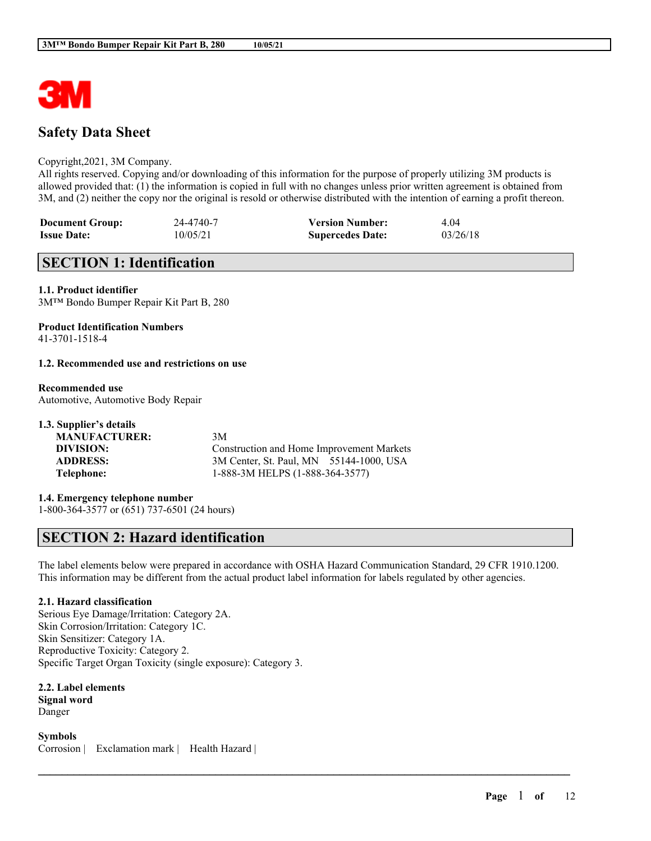

## **Safety Data Sheet**

#### Copyright,2021, 3M Company.

All rights reserved. Copying and/or downloading of this information for the purpose of properly utilizing 3M products is allowed provided that: (1) the information is copied in full with no changes unless prior written agreement is obtained from 3M, and (2) neither the copy nor the original is resold or otherwise distributed with the intention of earning a profit thereon.

| <b>Document Group:</b> | 24-4740-7 | <b>Version Number:</b>  | 4.04     |
|------------------------|-----------|-------------------------|----------|
| <b>Issue Date:</b>     | 10/05/21  | <b>Supercedes Date:</b> | 03/26/18 |

# **SECTION 1: Identification**

### **1.1. Product identifier**

3M™ Bondo Bumper Repair Kit Part B, 280

## **Product Identification Numbers**

41-3701-1518-4

### **1.2. Recommended use and restrictions on use**

### **Recommended use**

Automotive, Automotive Body Repair

| 1.3. Supplier's details |                                           |
|-------------------------|-------------------------------------------|
| <b>MANUFACTURER:</b>    | 3M                                        |
| DIVISION:               | Construction and Home Improvement Markets |
| <b>ADDRESS:</b>         | 3M Center, St. Paul, MN 55144-1000, USA   |
| Telephone:              | 1-888-3M HELPS (1-888-364-3577)           |

#### **1.4. Emergency telephone number**

1-800-364-3577 or (651) 737-6501 (24 hours)

## **SECTION 2: Hazard identification**

The label elements below were prepared in accordance with OSHA Hazard Communication Standard, 29 CFR 1910.1200. This information may be different from the actual product label information for labels regulated by other agencies.

 $\mathcal{L}_\mathcal{L} = \mathcal{L}_\mathcal{L} = \mathcal{L}_\mathcal{L} = \mathcal{L}_\mathcal{L} = \mathcal{L}_\mathcal{L} = \mathcal{L}_\mathcal{L} = \mathcal{L}_\mathcal{L} = \mathcal{L}_\mathcal{L} = \mathcal{L}_\mathcal{L} = \mathcal{L}_\mathcal{L} = \mathcal{L}_\mathcal{L} = \mathcal{L}_\mathcal{L} = \mathcal{L}_\mathcal{L} = \mathcal{L}_\mathcal{L} = \mathcal{L}_\mathcal{L} = \mathcal{L}_\mathcal{L} = \mathcal{L}_\mathcal{L}$ 

## **2.1. Hazard classification**

Serious Eye Damage/Irritation: Category 2A. Skin Corrosion/Irritation: Category 1C. Skin Sensitizer: Category 1A. Reproductive Toxicity: Category 2. Specific Target Organ Toxicity (single exposure): Category 3.

**2.2. Label elements Signal word** Danger

**Symbols** Corrosion | Exclamation mark | Health Hazard |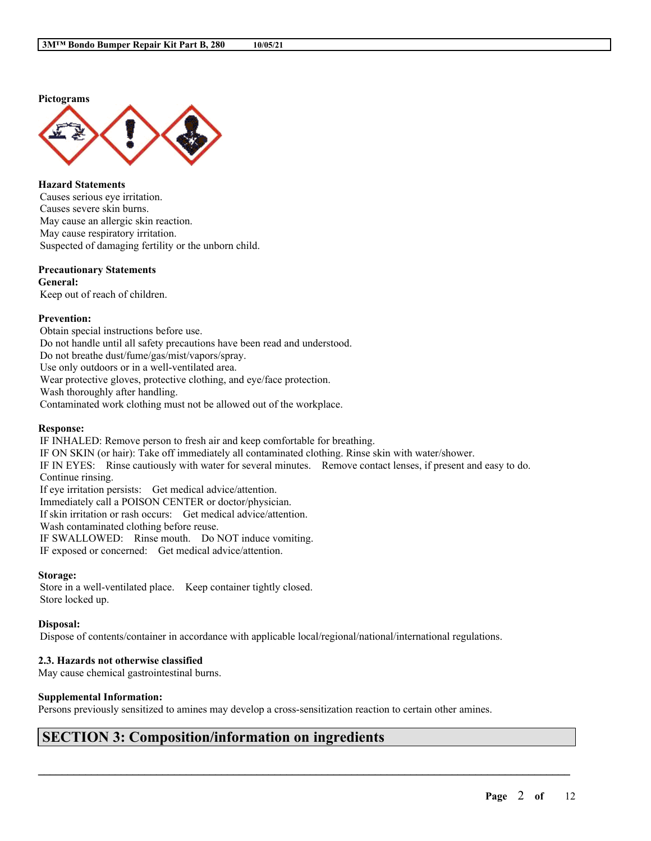### **Pictograms**



**Hazard Statements** Causes serious eye irritation. Causes severe skin burns. May cause an allergic skin reaction. May cause respiratory irritation. Suspected of damaging fertility or the unborn child.

#### **Precautionary Statements**

**General:** Keep out of reach of children.

#### **Prevention:**

Obtain special instructions before use. Do not handle until all safety precautions have been read and understood. Do not breathe dust/fume/gas/mist/vapors/spray. Use only outdoors or in a well-ventilated area. Wear protective gloves, protective clothing, and eye/face protection. Wash thoroughly after handling. Contaminated work clothing must not be allowed out of the workplace.

#### **Response:**

IF INHALED: Remove person to fresh air and keep comfortable for breathing. IF ON SKIN (or hair): Take off immediately all contaminated clothing. Rinse skin with water/shower. IF IN EYES: Rinse cautiously with water for several minutes. Remove contact lenses, if present and easy to do. Continue rinsing. If eye irritation persists: Get medical advice/attention. Immediately call a POISON CENTER or doctor/physician. If skin irritation or rash occurs: Get medical advice/attention. Wash contaminated clothing before reuse. IF SWALLOWED: Rinse mouth. Do NOT induce vomiting. IF exposed or concerned: Get medical advice/attention.

#### **Storage:**

Store in a well-ventilated place. Keep container tightly closed. Store locked up.

#### **Disposal:**

Dispose of contents/container in accordance with applicable local/regional/national/international regulations.

#### **2.3. Hazards not otherwise classified**

May cause chemical gastrointestinal burns.

#### **Supplemental Information:**

Persons previously sensitized to amines may develop a cross-sensitization reaction to certain other amines.

 $\mathcal{L}_\mathcal{L} = \mathcal{L}_\mathcal{L} = \mathcal{L}_\mathcal{L} = \mathcal{L}_\mathcal{L} = \mathcal{L}_\mathcal{L} = \mathcal{L}_\mathcal{L} = \mathcal{L}_\mathcal{L} = \mathcal{L}_\mathcal{L} = \mathcal{L}_\mathcal{L} = \mathcal{L}_\mathcal{L} = \mathcal{L}_\mathcal{L} = \mathcal{L}_\mathcal{L} = \mathcal{L}_\mathcal{L} = \mathcal{L}_\mathcal{L} = \mathcal{L}_\mathcal{L} = \mathcal{L}_\mathcal{L} = \mathcal{L}_\mathcal{L}$ 

## **SECTION 3: Composition/information on ingredients**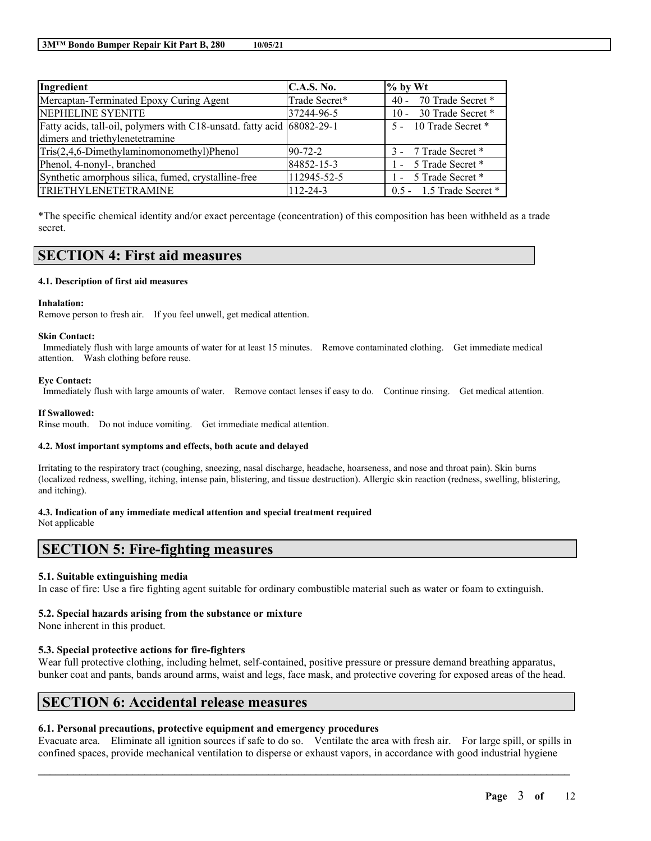| Ingredient                                                             | C.A.S. No.    | $%$ by Wt                   |
|------------------------------------------------------------------------|---------------|-----------------------------|
| Mercaptan-Terminated Epoxy Curing Agent                                | Trade Secret* | 70 Trade Secret *<br>$40 -$ |
| NEPHELINE SYENITE                                                      | 37244-96-5    | 10 - 30 Trade Secret *      |
| Fatty acids, tall-oil, polymers with C18-unsatd. fatty acid 68082-29-1 |               | 5 - 10 Trade Secret *       |
| dimers and triethylenetetramine                                        |               |                             |
| Tris(2,4,6-Dimethylaminomonomethyl)Phenol                              | $90 - 72 - 2$ | 3 - 7 Trade Secret *        |
| Phenol, 4-nonyl-, branched                                             | 84852-15-3    | 1 - 5 Trade Secret *        |
| Synthetic amorphous silica, fumed, crystalline-free                    | 112945-52-5   | 1 - 5 Trade Secret *        |
| TRIETHYLENETETRAMINE                                                   | 112-24-3      | $0.5 - 1.5$ Trade Secret *  |

\*The specific chemical identity and/or exact percentage (concentration) of this composition has been withheld as a trade secret.

## **SECTION 4: First aid measures**

#### **4.1. Description of first aid measures**

#### **Inhalation:**

Remove person to fresh air. If you feel unwell, get medical attention.

#### **Skin Contact:**

Immediately flush with large amounts of water for at least 15 minutes. Remove contaminated clothing. Get immediate medical attention. Wash clothing before reuse.

#### **Eye Contact:**

Immediately flush with large amounts of water. Remove contact lenses if easy to do. Continue rinsing. Get medical attention.

#### **If Swallowed:**

Rinse mouth. Do not induce vomiting. Get immediate medical attention.

#### **4.2. Most important symptoms and effects, both acute and delayed**

Irritating to the respiratory tract (coughing, sneezing, nasal discharge, headache, hoarseness, and nose and throat pain). Skin burns (localized redness, swelling, itching, intense pain, blistering, and tissue destruction). Allergic skin reaction (redness, swelling, blistering, and itching).

#### **4.3. Indication of any immediate medical attention and special treatment required**

Not applicable

## **SECTION 5: Fire-fighting measures**

#### **5.1. Suitable extinguishing media**

In case of fire: Use a fire fighting agent suitable for ordinary combustible material such as water or foam to extinguish.

#### **5.2. Special hazards arising from the substance or mixture**

None inherent in this product.

#### **5.3. Special protective actions for fire-fighters**

Wear full protective clothing, including helmet, self-contained, positive pressure or pressure demand breathing apparatus, bunker coat and pants, bands around arms, waist and legs, face mask, and protective covering for exposed areas of the head.

## **SECTION 6: Accidental release measures**

## **6.1. Personal precautions, protective equipment and emergency procedures**

Evacuate area. Eliminate all ignition sources if safe to do so. Ventilate the area with fresh air. For large spill, or spills in confined spaces, provide mechanical ventilation to disperse or exhaust vapors, in accordance with good industrial hygiene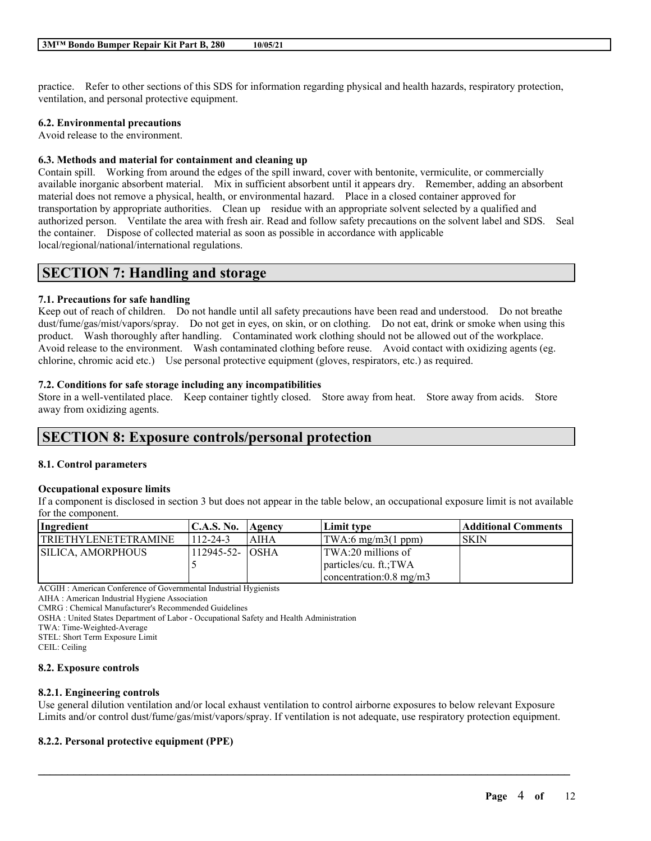practice. Refer to other sections of this SDS for information regarding physical and health hazards, respiratory protection, ventilation, and personal protective equipment.

## **6.2. Environmental precautions**

Avoid release to the environment.

### **6.3. Methods and material for containment and cleaning up**

Contain spill. Working from around the edges of the spill inward, cover with bentonite, vermiculite, or commercially available inorganic absorbent material. Mix in sufficient absorbent until it appears dry. Remember, adding an absorbent material does not remove a physical, health, or environmental hazard. Place in a closed container approved for transportation by appropriate authorities. Clean up residue with an appropriate solvent selected by a qualified and authorized person. Ventilate the area with fresh air. Read and follow safety precautions on the solvent label and SDS. Seal the container. Dispose of collected material as soon as possible in accordance with applicable local/regional/national/international regulations.

## **SECTION 7: Handling and storage**

## **7.1. Precautions for safe handling**

Keep out of reach of children. Do not handle until all safety precautions have been read and understood. Do not breathe dust/fume/gas/mist/vapors/spray. Do not get in eyes, on skin, or on clothing. Do not eat, drink or smoke when using this product. Wash thoroughly after handling. Contaminated work clothing should not be allowed out of the workplace. Avoid release to the environment. Wash contaminated clothing before reuse. Avoid contact with oxidizing agents (eg. chlorine, chromic acid etc.) Use personal protective equipment (gloves, respirators, etc.) as required.

### **7.2. Conditions for safe storage including any incompatibilities**

Store in a well-ventilated place. Keep container tightly closed. Store away from heat. Store away from acids. Store away from oxidizing agents.

## **SECTION 8: Exposure controls/personal protection**

## **8.1. Control parameters**

## **Occupational exposure limits**

If a component is disclosed in section 3 but does not appear in the table below, an occupational exposure limit is not available for the component.

| Ingredient |                             | <b>C.A.S. No.</b>     | Agency      | Limit type                        | Additional Comments |
|------------|-----------------------------|-----------------------|-------------|-----------------------------------|---------------------|
|            | <b>TRIETHYLENETETRAMINE</b> | $112 - 24 - 3$        | <b>AIHA</b> | $\text{TWA:6 mg/m3}(1 ppm)$       | SKIN                |
|            | <b>SILICA. AMORPHOUS</b>    | $112945 - 52 - 10SHA$ |             | TWA:20 millions of                |                     |
|            |                             |                       |             | particles/cu. ft.;TWA             |                     |
|            |                             |                       |             | concentration: $0.8 \text{ mg/m}$ |                     |

ACGIH : American Conference of Governmental Industrial Hygienists

AIHA : American Industrial Hygiene Association

CMRG : Chemical Manufacturer's Recommended Guidelines

OSHA : United States Department of Labor - Occupational Safety and Health Administration

TWA: Time-Weighted-Average

STEL: Short Term Exposure Limit

CEIL: Ceiling

#### **8.2. Exposure controls**

## **8.2.1. Engineering controls**

Use general dilution ventilation and/or local exhaust ventilation to control airborne exposures to below relevant Exposure Limits and/or control dust/fume/gas/mist/vapors/spray. If ventilation is not adequate, use respiratory protection equipment.

 $\mathcal{L}_\mathcal{L} = \mathcal{L}_\mathcal{L} = \mathcal{L}_\mathcal{L} = \mathcal{L}_\mathcal{L} = \mathcal{L}_\mathcal{L} = \mathcal{L}_\mathcal{L} = \mathcal{L}_\mathcal{L} = \mathcal{L}_\mathcal{L} = \mathcal{L}_\mathcal{L} = \mathcal{L}_\mathcal{L} = \mathcal{L}_\mathcal{L} = \mathcal{L}_\mathcal{L} = \mathcal{L}_\mathcal{L} = \mathcal{L}_\mathcal{L} = \mathcal{L}_\mathcal{L} = \mathcal{L}_\mathcal{L} = \mathcal{L}_\mathcal{L}$ 

## **8.2.2. Personal protective equipment (PPE)**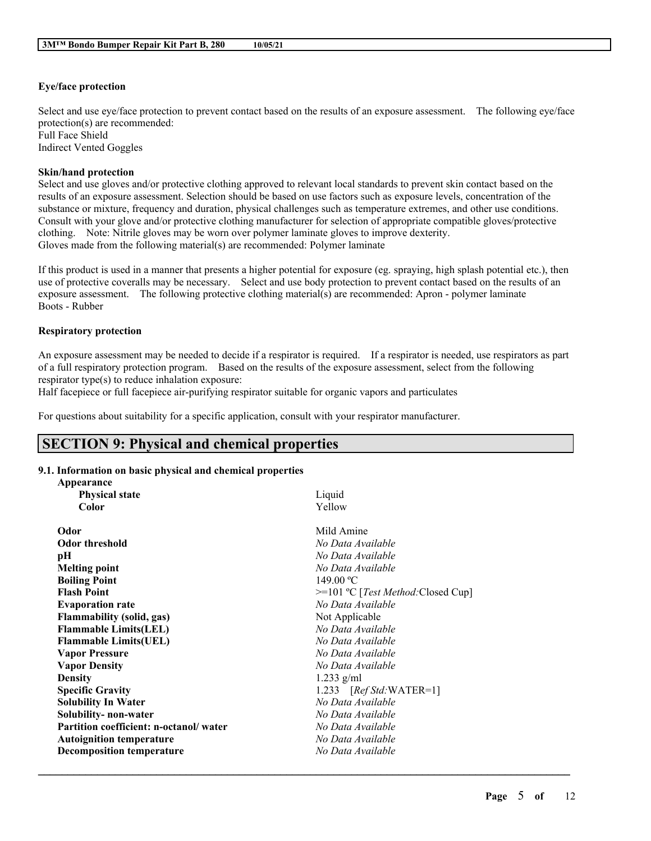## **Eye/face protection**

Select and use eye/face protection to prevent contact based on the results of an exposure assessment. The following eye/face protection(s) are recommended: Full Face Shield Indirect Vented Goggles

#### **Skin/hand protection**

Select and use gloves and/or protective clothing approved to relevant local standards to prevent skin contact based on the results of an exposure assessment. Selection should be based on use factors such as exposure levels, concentration of the substance or mixture, frequency and duration, physical challenges such as temperature extremes, and other use conditions. Consult with your glove and/or protective clothing manufacturer for selection of appropriate compatible gloves/protective clothing. Note: Nitrile gloves may be worn over polymer laminate gloves to improve dexterity. Gloves made from the following material(s) are recommended: Polymer laminate

If this product is used in a manner that presents a higher potential for exposure (eg. spraying, high splash potential etc.), then use of protective coveralls may be necessary. Select and use body protection to prevent contact based on the results of an exposure assessment. The following protective clothing material(s) are recommended: Apron - polymer laminate Boots - Rubber

### **Respiratory protection**

An exposure assessment may be needed to decide if a respirator is required. If a respirator is needed, use respirators as part of a full respiratory protection program. Based on the results of the exposure assessment, select from the following respirator type(s) to reduce inhalation exposure:

Half facepiece or full facepiece air-purifying respirator suitable for organic vapors and particulates

For questions about suitability for a specific application, consult with your respirator manufacturer.

## **SECTION 9: Physical and chemical properties**

## **9.1. Information on basic physical and chemical properties**

| Appearance                             |                                    |
|----------------------------------------|------------------------------------|
| <b>Physical state</b>                  | Liquid                             |
| Color                                  | Yellow                             |
| Odor                                   | Mild Amine                         |
| <b>Odor threshold</b>                  | No Data Available                  |
| pН                                     | No Data Available                  |
| <b>Melting point</b>                   | No Data Available                  |
| <b>Boiling Point</b>                   | 149.00 °C                          |
| <b>Flash Point</b>                     | >=101 °C [Test Method: Closed Cup] |
| <b>Evaporation rate</b>                | No Data Available                  |
| <b>Flammability (solid, gas)</b>       | Not Applicable                     |
| <b>Flammable Limits(LEL)</b>           | No Data Available                  |
| <b>Flammable Limits(UEL)</b>           | No Data Available                  |
| <b>Vapor Pressure</b>                  | No Data Available                  |
| <b>Vapor Density</b>                   | No Data Available                  |
| <b>Density</b>                         | 1.233 $g/ml$                       |
| <b>Specific Gravity</b>                | 1.233 [Ref Std: WATER=1]           |
| <b>Solubility In Water</b>             | No Data Available                  |
| Solubility- non-water                  | No Data Available                  |
| Partition coefficient: n-octanol/water | No Data Available                  |
| <b>Autoignition temperature</b>        | No Data Available                  |
| <b>Decomposition temperature</b>       | No Data Available                  |
|                                        |                                    |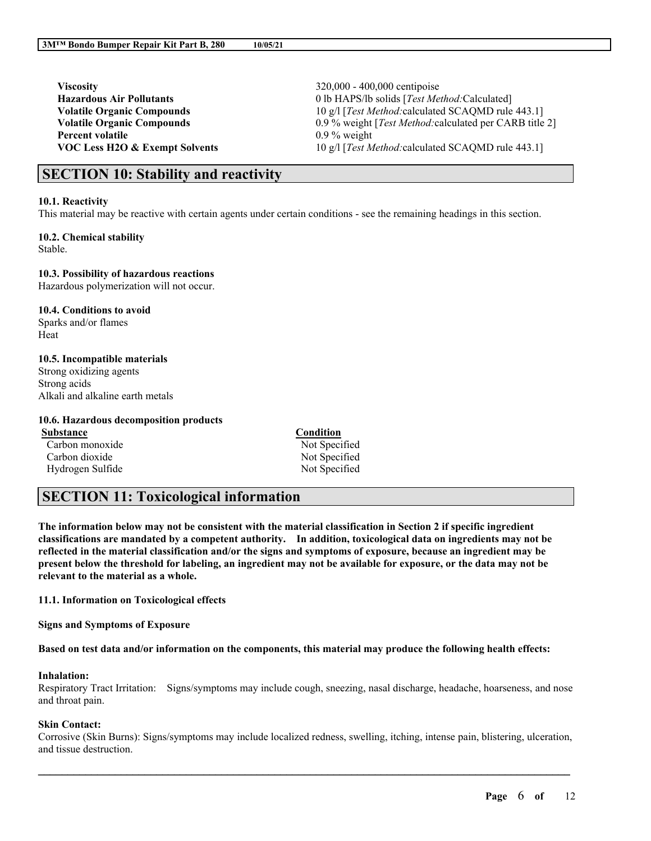**Viscosity** 320,000 - 400,000 centipoise **Percent volatile** 0.9 % weight

**Hazardous Air Pollutants** 0 lb HAPS/lb solids [*Test Method:*Calculated] **Volatile Organic Compounds** 10 g/l [*Test Method:*calculated SCAQMD rule 443.1] **Volatile Organic Compounds** 0.9 % weight [*Test Method:*calculated per CARB title 2] **VOC Less H2O & Exempt Solvents** 10 g/l [*Test Method:*calculated SCAQMD rule 443.1]

## **SECTION 10: Stability and reactivity**

#### **10.1. Reactivity**

This material may be reactive with certain agents under certain conditions - see the remaining headings in this section.

## **10.2. Chemical stability**

Stable.

### **10.3. Possibility of hazardous reactions**

Hazardous polymerization will not occur.

# **10.4. Conditions to avoid**

Sparks and/or flames Heat

### **10.5. Incompatible materials**

Strong oxidizing agents Strong acids Alkali and alkaline earth metals

### **10.6. Hazardous decomposition products**

**Substance Condition** Carbon monoxide Not Specified Carbon dioxide Not Specified Hydrogen Sulfide Not Specified

# **SECTION 11: Toxicological information**

The information below may not be consistent with the material classification in Section 2 if specific ingredient **classifications are mandated by a competent authority. In addition, toxicological data on ingredients may not be** reflected in the material classification and/or the signs and symptoms of exposure, because an ingredient may be present below the threshold for labeling, an ingredient may not be available for exposure, or the data may not be **relevant to the material as a whole.**

## **11.1. Information on Toxicological effects**

**Signs and Symptoms of Exposure**

Based on test data and/or information on the components, this material may produce the following health effects:

## **Inhalation:**

Respiratory Tract Irritation: Signs/symptoms may include cough, sneezing, nasal discharge, headache, hoarseness, and nose and throat pain.

## **Skin Contact:**

Corrosive (Skin Burns): Signs/symptoms may include localized redness, swelling, itching, intense pain, blistering, ulceration, and tissue destruction.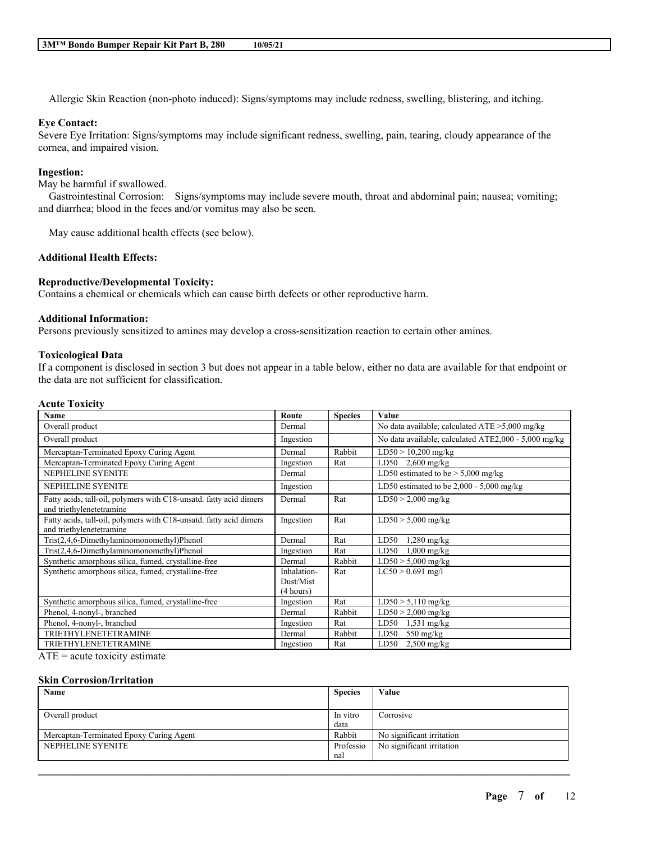Allergic Skin Reaction (non-photo induced): Signs/symptoms may include redness, swelling, blistering, and itching.

### **Eye Contact:**

Severe Eye Irritation: Signs/symptoms may include significant redness, swelling, pain, tearing, cloudy appearance of the cornea, and impaired vision.

### **Ingestion:**

May be harmful if swallowed.

Gastrointestinal Corrosion: Signs/symptoms may include severe mouth, throat and abdominal pain; nausea; vomiting; and diarrhea; blood in the feces and/or vomitus may also be seen.

May cause additional health effects (see below).

### **Additional Health Effects:**

### **Reproductive/Developmental Toxicity:**

Contains a chemical or chemicals which can cause birth defects or other reproductive harm.

#### **Additional Information:**

Persons previously sensitized to amines may develop a cross-sensitization reaction to certain other amines.

#### **Toxicological Data**

If a component is disclosed in section 3 but does not appear in a table below, either no data are available for that endpoint or the data are not sufficient for classification.

## **Acute Toxicity**

| Name                                                                                           | Route       | <b>Species</b> | Value                                                |
|------------------------------------------------------------------------------------------------|-------------|----------------|------------------------------------------------------|
| Overall product                                                                                | Dermal      |                | No data available; calculated $ATE > 5,000$ mg/kg    |
| Overall product                                                                                | Ingestion   |                | No data available; calculated ATE2,000 - 5,000 mg/kg |
| Mercaptan-Terminated Epoxy Curing Agent                                                        | Dermal      | Rabbit         | $LD50 > 10,200$ mg/kg                                |
| Mercaptan-Terminated Epoxy Curing Agent                                                        | Ingestion   | Rat            | LD50 $2,600$ mg/kg                                   |
| NEPHELINE SYENITE                                                                              | Dermal      |                | LD50 estimated to be $> 5,000$ mg/kg                 |
| NEPHELINE SYENITE                                                                              | Ingestion   |                | LD50 estimated to be $2,000 - 5,000$ mg/kg           |
| Fatty acids, tall-oil, polymers with C18-unsatd. fatty acid dimers<br>and triethylenetetramine | Dermal      | Rat            | $LD50 > 2,000$ mg/kg                                 |
| Fatty acids, tall-oil, polymers with C18-unsatd. fatty acid dimers<br>and triethylenetetramine | Ingestion   | Rat            | $LD50 > 5,000$ mg/kg                                 |
| Tris(2,4,6-Dimethylaminomonomethyl)Phenol                                                      | Dermal      | Rat            | $1,280$ mg/kg<br>LD50                                |
| Tris(2,4,6-Dimethylaminomonomethyl)Phenol                                                      | Ingestion   | Rat            | $1,000$ mg/kg<br>LD50                                |
| Synthetic amorphous silica, fumed, crystalline-free                                            | Dermal      | Rabbit         | $LD50 > 5,000$ mg/kg                                 |
| Synthetic amorphous silica, fumed, crystalline-free                                            | Inhalation- | Rat            | $LC50 > 0.691$ mg/l                                  |
|                                                                                                | Dust/Mist   |                |                                                      |
|                                                                                                | (4 hours)   |                |                                                      |
| Synthetic amorphous silica, fumed, crystalline-free                                            | Ingestion   | Rat            | $LD50 > 5,110$ mg/kg                                 |
| Phenol, 4-nonyl-, branched                                                                     | Dermal      | Rabbit         | $LD50 > 2,000$ mg/kg                                 |
| Phenol, 4-nonyl-, branched                                                                     | Ingestion   | Rat            | LD50<br>$1,531$ mg/kg                                |
| <b>TRIETHYLENETETRAMINE</b>                                                                    | Dermal      | Rabbit         | LD50<br>$550 \text{ mg/kg}$                          |
| <b>TRIETHYLENETETRAMINE</b>                                                                    | Ingestion   | Rat            | $2,500$ mg/kg<br>LD50                                |

 $ATE = acute$  toxicity estimate

#### **Skin Corrosion/Irritation**

| Name                                    | <b>Species</b> | Value                     |
|-----------------------------------------|----------------|---------------------------|
| Overall product                         | In vitro       | Corrosive                 |
| Mercaptan-Terminated Epoxy Curing Agent | data<br>Rabbit | No significant irritation |
| NEPHELINE SYENITE                       | Professio      | No significant irritation |
|                                         | nal            |                           |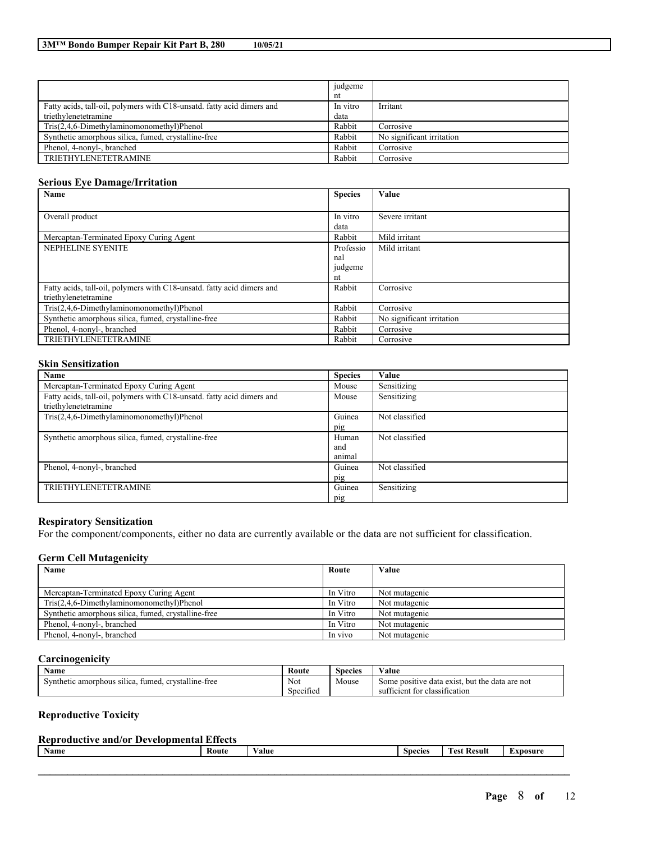|                                                                        | judgeme  |                           |
|------------------------------------------------------------------------|----------|---------------------------|
|                                                                        | nt       |                           |
| Fatty acids, tall-oil, polymers with C18-unsatd, fatty acid dimers and | In vitro | Irritant                  |
| triethylenetetramine                                                   | data     |                           |
| Tris(2,4,6-Dimethylaminomonomethyl)Phenol                              | Rabbit   | Corrosive                 |
| Synthetic amorphous silica, fumed, crystalline-free                    | Rabbit   | No significant irritation |
| Phenol, 4-nonyl-, branched                                             | Rabbit   | Corrosive                 |
| TRIETHYLENETETRAMINE                                                   | Rabbit   | Corrosive                 |

### **Serious Eye Damage/Irritation**

| Name                                                                   | <b>Species</b> | Value                     |
|------------------------------------------------------------------------|----------------|---------------------------|
|                                                                        |                |                           |
| Overall product                                                        | In vitro       | Severe irritant           |
|                                                                        | data           |                           |
| Mercaptan-Terminated Epoxy Curing Agent                                | Rabbit         | Mild irritant             |
| NEPHELINE SYENITE                                                      | Professio      | Mild irritant             |
|                                                                        | nal            |                           |
|                                                                        | judgeme        |                           |
|                                                                        | nt             |                           |
| Fatty acids, tall-oil, polymers with C18-unsatd. fatty acid dimers and | Rabbit         | Corrosive                 |
| triethylenetetramine                                                   |                |                           |
| Tris(2,4,6-Dimethylaminomonomethyl)Phenol                              | Rabbit         | Corrosive                 |
| Synthetic amorphous silica, fumed, crystalline-free                    | Rabbit         | No significant irritation |
| Phenol, 4-nonyl-, branched                                             | Rabbit         | Corrosive                 |
| <b>TRIETHYLENETETRAMINE</b>                                            | Rabbit         | Corrosive                 |

## **Skin Sensitization**

| Name                                                                   | <b>Species</b> | Value          |
|------------------------------------------------------------------------|----------------|----------------|
| Mercaptan-Terminated Epoxy Curing Agent                                | Mouse          | Sensitizing    |
| Fatty acids, tall-oil, polymers with C18-unsatd. fatty acid dimers and | Mouse          | Sensitizing    |
| triethylenetetramine                                                   |                |                |
| Tris(2,4,6-Dimethylaminomonomethyl)Phenol                              | Guinea         | Not classified |
|                                                                        | pig            |                |
| Synthetic amorphous silica, fumed, crystalline-free                    | Human          | Not classified |
|                                                                        | and            |                |
|                                                                        | animal         |                |
| Phenol, 4-nonyl-, branched                                             | Guinea         | Not classified |
|                                                                        | pig            |                |
| <b>TRIETHYLENETETRAMINE</b>                                            | Guinea         | Sensitizing    |
|                                                                        | pig            |                |

### **Respiratory Sensitization**

For the component/components, either no data are currently available or the data are not sufficient for classification.

## **Germ Cell Mutagenicity**

| Name<br>Route                                       |          | Value         |
|-----------------------------------------------------|----------|---------------|
|                                                     |          |               |
| Mercaptan-Terminated Epoxy Curing Agent             | In Vitro | Not mutagenic |
| Tris(2,4,6-Dimethylaminomonomethyl)Phenol           | In Vitro | Not mutagenic |
| Synthetic amorphous silica, fumed, crystalline-free | In Vitro | Not mutagenic |
| Phenol, 4-nonyl-, branched                          | In Vitro | Not mutagenic |
| Phenol. 4-nonyl-, branched                          | In vivo  | Not mutagenic |

## **Carcinogenicity**

| Route<br>Name<br>Species                                           |                  |       | Value                                               |
|--------------------------------------------------------------------|------------------|-------|-----------------------------------------------------|
| Not<br>. crystalline-free<br>tumed.<br>Synthetic amorphous silica. |                  | Mouse | e data exist, but the data are not<br>Some positive |
|                                                                    | . .<br>Specified |       | sufficient for classification                       |

### **Reproductive Toxicity**

| <b>Reproductive and/or Developmental Effects</b> |       |        |                          |                                         |          |  |
|--------------------------------------------------|-------|--------|--------------------------|-----------------------------------------|----------|--|
| Name                                             | Route | ⁄ alue | $\sim$<br><b>Species</b> | <b>CONTRACTOR</b><br><b>Test Result</b> | Exposure |  |
|                                                  |       |        |                          |                                         |          |  |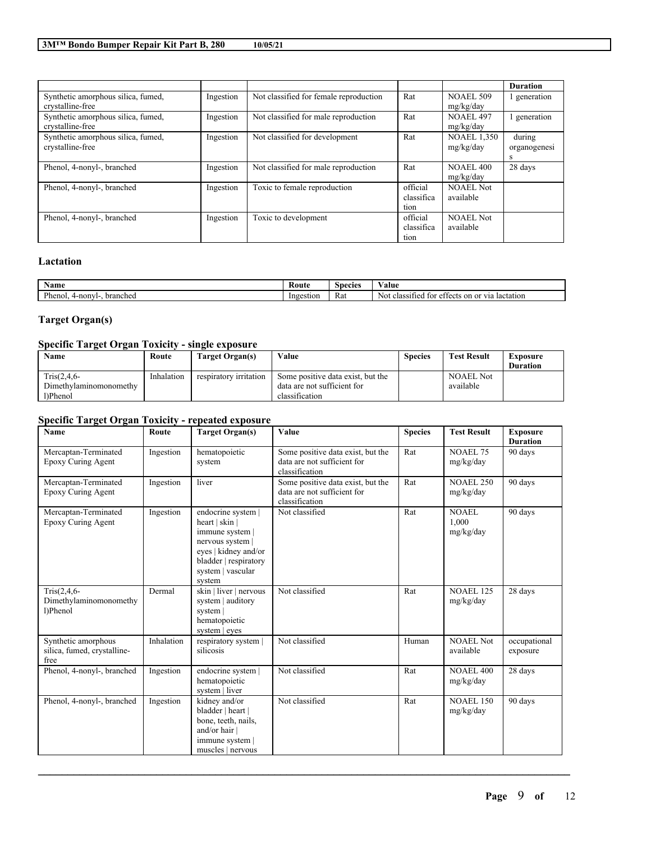|                                                        |           |                                        |                                |                                 | <b>Duration</b>             |
|--------------------------------------------------------|-----------|----------------------------------------|--------------------------------|---------------------------------|-----------------------------|
| Synthetic amorphous silica, fumed,<br>crystalline-free | Ingestion | Not classified for female reproduction | Rat                            | <b>NOAEL 509</b><br>mg/kg/day   | generation                  |
| Synthetic amorphous silica, fumed,<br>crystalline-free | Ingestion | Not classified for male reproduction   | Rat                            | <b>NOAEL 497</b><br>mg/kg/day   | generation                  |
| Synthetic amorphous silica, fumed,<br>crystalline-free | Ingestion | Not classified for development         | Rat                            | <b>NOAEL 1.350</b><br>mg/kg/day | during<br>organogenesi<br>S |
| Phenol, 4-nonyl-, branched                             | Ingestion | Not classified for male reproduction   | Rat                            | NOAEL 400<br>mg/kg/day          | 28 days                     |
| Phenol, 4-nonyl-, branched                             | Ingestion | Toxic to female reproduction           | official<br>classifica<br>tion | <b>NOAEL Not</b><br>available   |                             |
| Phenol, 4-nonyl-, branched                             | Ingestion | Toxic to development                   | official<br>classifica<br>tion | <b>NOAEL Not</b><br>available   |                             |

## **Lactation**

| vame                                                       | <b>Route</b><br>'alue<br><b>Species</b> |     |                                                                                                                       |
|------------------------------------------------------------|-----------------------------------------|-----|-----------------------------------------------------------------------------------------------------------------------|
| $\mathbf{L}$<br><sup>P</sup> heno.<br>l-nonvl-<br>branched | Ingestion                               | Rat | lactation<br>classifie<br>$\sim$ $\sim$<br>$\sim$<br><b>3719</b><br>N01.<br>ote<br>$+\sim$<br>~+<br>$\mathbf{U}$<br>ы |

# **Target Organ(s)**

## **Specific Target Organ Toxicity - single exposure**

| Name                   | Route      | Target Organ(s)        | Value                             | <b>Species</b> | <b>Test Result</b> | Exposure        |
|------------------------|------------|------------------------|-----------------------------------|----------------|--------------------|-----------------|
|                        |            |                        |                                   |                |                    | <b>Duration</b> |
| $Tris(2, 4, 6-$        | Inhalation | respiratory irritation | Some positive data exist, but the |                | <b>NOAEL Not</b>   |                 |
| Dimethylaminomonomethy |            |                        | data are not sufficient for       |                | available          |                 |
| 1)Phenol               |            |                        | classification                    |                |                    |                 |

## **Specific Target Organ Toxicity - repeated exposure**

| <b>Name</b>                                                | Route      | <b>Target Organ(s)</b>                                                                                                                                    | Value                                                                              | <b>Species</b> | <b>Test Result</b>            | <b>Exposure</b><br><b>Duration</b> |
|------------------------------------------------------------|------------|-----------------------------------------------------------------------------------------------------------------------------------------------------------|------------------------------------------------------------------------------------|----------------|-------------------------------|------------------------------------|
| Mercaptan-Terminated<br>Epoxy Curing Agent                 | Ingestion  | hematopoietic<br>system                                                                                                                                   | Some positive data exist, but the<br>data are not sufficient for<br>classification | Rat            | <b>NOAEL 75</b><br>mg/kg/day  | 90 days                            |
| Mercaptan-Terminated<br>Epoxy Curing Agent                 | Ingestion  | liver                                                                                                                                                     | Some positive data exist, but the<br>data are not sufficient for<br>classification | Rat            | <b>NOAEL 250</b><br>mg/kg/day | 90 days                            |
| Mercaptan-Terminated<br>Epoxy Curing Agent                 | Ingestion  | endocrine system  <br>heart   skin  <br>immune system  <br>nervous system<br>eyes   kidney and/or<br>bladder   respiratory<br>system   vascular<br>system | Not classified                                                                     | Rat            | NOAEL<br>1.000<br>mg/kg/day   | 90 days                            |
| $Tris(2, 4, 6 -$<br>Dimethylaminomonomethy<br>l)Phenol     | Dermal     | skin   liver   nervous<br>system   auditory<br>system  <br>hematopoietic<br>system   eyes                                                                 | Not classified                                                                     | Rat            | <b>NOAEL 125</b><br>mg/kg/day | 28 days                            |
| Synthetic amorphous<br>silica, fumed, crystalline-<br>free | Inhalation | respiratory system  <br>silicosis                                                                                                                         | Not classified                                                                     | Human          | NOAEL Not<br>available        | occupational<br>exposure           |
| Phenol, 4-nonyl-, branched                                 | Ingestion  | endocrine system  <br>hematopoietic<br>system   liver                                                                                                     | Not classified                                                                     | Rat            | <b>NOAEL 400</b><br>mg/kg/day | 28 days                            |
| Phenol, 4-nonyl-, branched                                 | Ingestion  | kidney and/or<br>bladder   heart  <br>bone, teeth, nails,<br>and/or hair  <br>immune system  <br>muscles   nervous                                        | Not classified                                                                     | Rat            | <b>NOAEL 150</b><br>mg/kg/day | 90 days                            |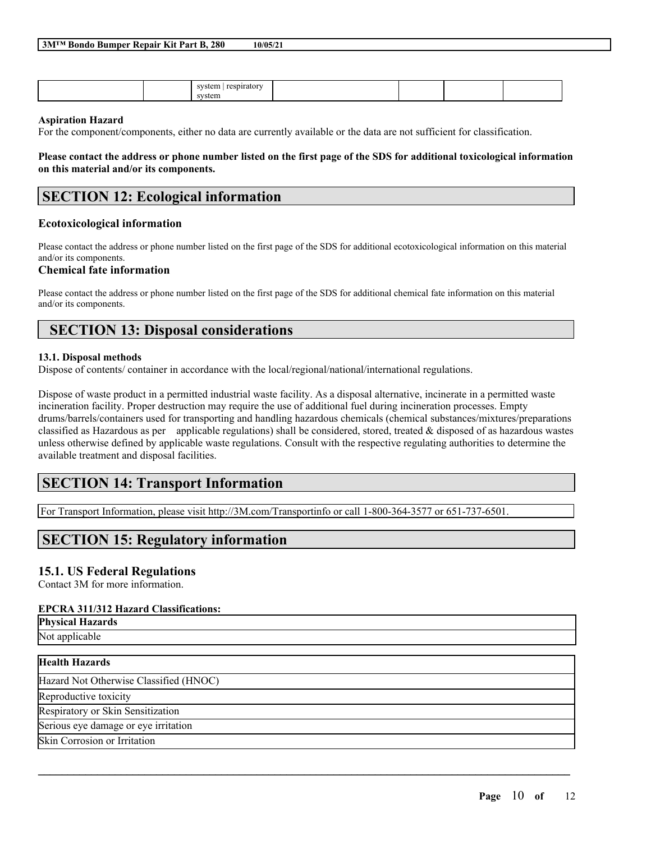|  | 3M™ Bondo Bumper Repair Kit Part B, 280 | 10/05/21 |
|--|-----------------------------------------|----------|
|--|-----------------------------------------|----------|

|  | system<br>respiratory<br>$\sim$ |  |  |
|--|---------------------------------|--|--|
|  | svstem                          |  |  |

#### **Aspiration Hazard**

For the component/components, either no data are currently available or the data are not sufficient for classification.

Please contact the address or phone number listed on the first page of the SDS for additional toxicological information **on this material and/or its components.**

## **SECTION 12: Ecological information**

#### **Ecotoxicological information**

Please contact the address or phone number listed on the first page of the SDS for additional ecotoxicological information on this material and/or its components.

#### **Chemical fate information**

Please contact the address or phone number listed on the first page of the SDS for additional chemical fate information on this material and/or its components.

## **SECTION 13: Disposal considerations**

#### **13.1. Disposal methods**

Dispose of contents/ container in accordance with the local/regional/national/international regulations.

Dispose of waste product in a permitted industrial waste facility. As a disposal alternative, incinerate in a permitted waste incineration facility. Proper destruction may require the use of additional fuel during incineration processes. Empty drums/barrels/containers used for transporting and handling hazardous chemicals (chemical substances/mixtures/preparations classified as Hazardous as per applicable regulations) shall be considered, stored, treated & disposed of as hazardous wastes unless otherwise defined by applicable waste regulations. Consult with the respective regulating authorities to determine the available treatment and disposal facilities.

 $\mathcal{L}_\mathcal{L} = \mathcal{L}_\mathcal{L} = \mathcal{L}_\mathcal{L} = \mathcal{L}_\mathcal{L} = \mathcal{L}_\mathcal{L} = \mathcal{L}_\mathcal{L} = \mathcal{L}_\mathcal{L} = \mathcal{L}_\mathcal{L} = \mathcal{L}_\mathcal{L} = \mathcal{L}_\mathcal{L} = \mathcal{L}_\mathcal{L} = \mathcal{L}_\mathcal{L} = \mathcal{L}_\mathcal{L} = \mathcal{L}_\mathcal{L} = \mathcal{L}_\mathcal{L} = \mathcal{L}_\mathcal{L} = \mathcal{L}_\mathcal{L}$ 

# **SECTION 14: Transport Information**

For Transport Information, please visit http://3M.com/Transportinfo or call 1-800-364-3577 or 651-737-6501.

## **SECTION 15: Regulatory information**

## **15.1. US Federal Regulations**

Contact 3M for more information.

## **EPCRA 311/312 Hazard Classifications:**

**Physical Hazards**

Not applicable

## **Health Hazards**

Hazard Not Otherwise Classified (HNOC)

Reproductive toxicity

Respiratory or Skin Sensitization

Serious eye damage or eye irritation

Skin Corrosion or Irritation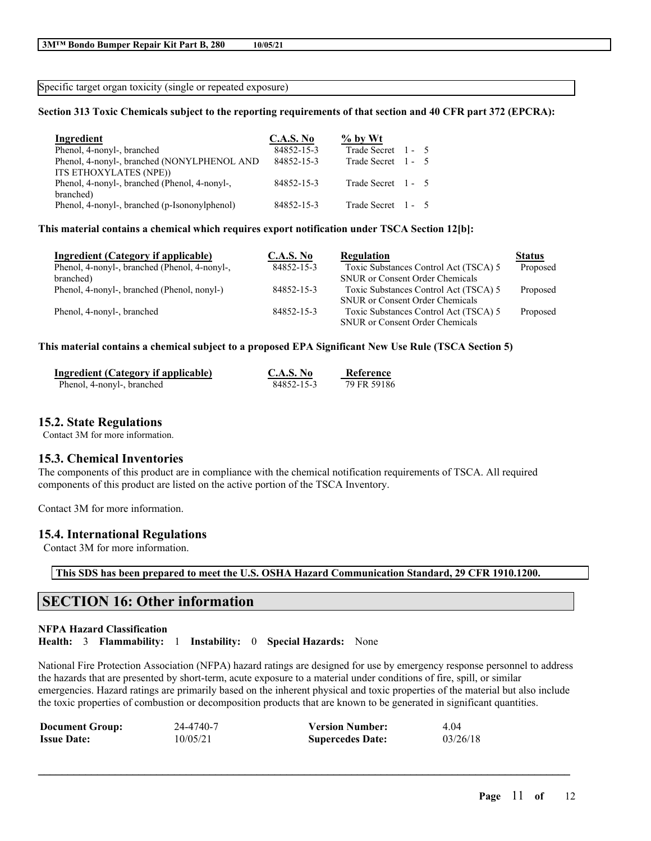Specific target organ toxicity (single or repeated exposure)

### Section 313 Toxic Chemicals subject to the reporting requirements of that section and 40 CFR part 372 (EPCRA):

| Ingredient                                    | <b>C.A.S. No</b> | $\%$ by Wt         |  |
|-----------------------------------------------|------------------|--------------------|--|
| Phenol, 4-nonyl-, branched                    | 84852-15-3       | Trade Secret 1 - 5 |  |
| Phenol, 4-nonyl-, branched (NONYLPHENOL AND   | 84852-15-3       | Trade Secret 1 - 5 |  |
| ITS ETHOXYLATES (NPE))                        |                  |                    |  |
| Phenol, 4-nonyl-, branched (Phenol, 4-nonyl-, | 84852-15-3       | Trade Secret 1 - 5 |  |
| branched)                                     |                  |                    |  |
| Phenol, 4-nonyl-, branched (p-Isononylphenol) | 84852-15-3       | Trade Secret 1 - 5 |  |

#### **This material contains a chemical which requires export notification under TSCA Section 12[b]:**

| Ingredient (Category if applicable)           | <b>C.A.S. No</b> | Regulation                             | <b>Status</b> |
|-----------------------------------------------|------------------|----------------------------------------|---------------|
| Phenol, 4-nonyl-, branched (Phenol, 4-nonyl-, | 84852-15-3       | Toxic Substances Control Act (TSCA) 5  | Proposed      |
| branched)                                     |                  | <b>SNUR</b> or Consent Order Chemicals |               |
| Phenol, 4-nonyl-, branched (Phenol, nonyl-)   | 84852-15-3       | Toxic Substances Control Act (TSCA) 5  | Proposed      |
|                                               |                  | <b>SNUR</b> or Consent Order Chemicals |               |
| Phenol, 4-nonyl-, branched                    | 84852-15-3       | Toxic Substances Control Act (TSCA) 5  | Proposed      |
|                                               |                  | <b>SNUR</b> or Consent Order Chemicals |               |
|                                               |                  |                                        |               |

#### **This material contains a chemical subject to a proposed EPA Significant New Use Rule (TSCA Section 5)**

| Ingredient (Category if applicable) | C.A.S. No  | Reference   |
|-------------------------------------|------------|-------------|
| Phenol, 4-nonyl-, branched          | 84852-15-3 | 79 FR 59186 |

### **15.2. State Regulations**

Contact 3M for more information.

## **15.3. Chemical Inventories**

The components of this product are in compliance with the chemical notification requirements of TSCA. All required components of this product are listed on the active portion of the TSCA Inventory.

Contact 3M for more information.

#### **15.4. International Regulations**

Contact 3M for more information.

**This SDS has been prepared to meet the U.S. OSHA Hazard Communication Standard, 29 CFR 1910.1200.**

## **SECTION 16: Other information**

#### **NFPA Hazard Classification**

**Health:** 3 **Flammability:** 1 **Instability:** 0 **Special Hazards:** None

National Fire Protection Association (NFPA) hazard ratings are designed for use by emergency response personnel to address the hazards that are presented by short-term, acute exposure to a material under conditions of fire, spill, or similar emergencies. Hazard ratings are primarily based on the inherent physical and toxic properties of the material but also include the toxic properties of combustion or decomposition products that are known to be generated in significant quantities.

| <b>Document Group:</b> | 24-4740-7 | <b>Version Number:</b>  | 4 04     |
|------------------------|-----------|-------------------------|----------|
| <b>Issue Date:</b>     | 10/05/21  | <b>Supercedes Date:</b> | 03/26/18 |